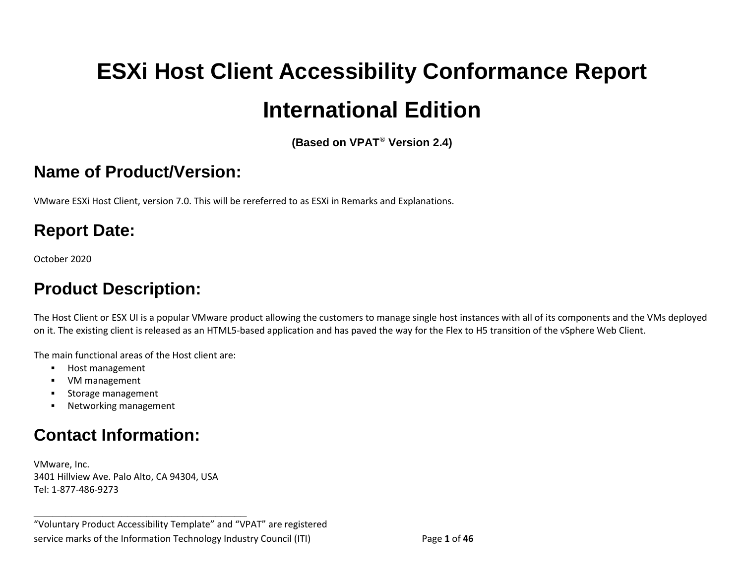# <span id="page-0-0"></span>**ESXi Host Client Accessibility Conformance Report International Edition**

**(Based on VPAT**® **Version 2.4)**

#### **Name of Product/Version:**

VMware ESXi Host Client, version 7.0. This will be rereferred to as ESXi in Remarks and Explanations.

## **Report Date:**

October 2020

## **Product Description:**

The Host Client or ESX UI is a popular VMware product allowing the customers to manage single host instances with all of its components and the VMs deployed on it. The existing client is released as an HTML5-based application and has paved the way for the Flex to H5 transition of the vSphere Web Client.

The main functional areas of the Host client are:

- Host management
- VM management
- Storage management
- Networking management

## **Contact Information:**

VMware, Inc. 3401 Hillview Ave. Palo Alto, CA 94304, USA Tel: 1-877-486-9273

**\_\_\_\_\_\_\_\_\_\_\_\_\_\_\_\_\_\_\_\_\_\_\_\_\_\_\_\_\_\_\_\_\_\_**

"Voluntary Product Accessibility Template" and "VPAT" are registered service marks of the Information Technology Industry Council (ITI) Page **1** of **46**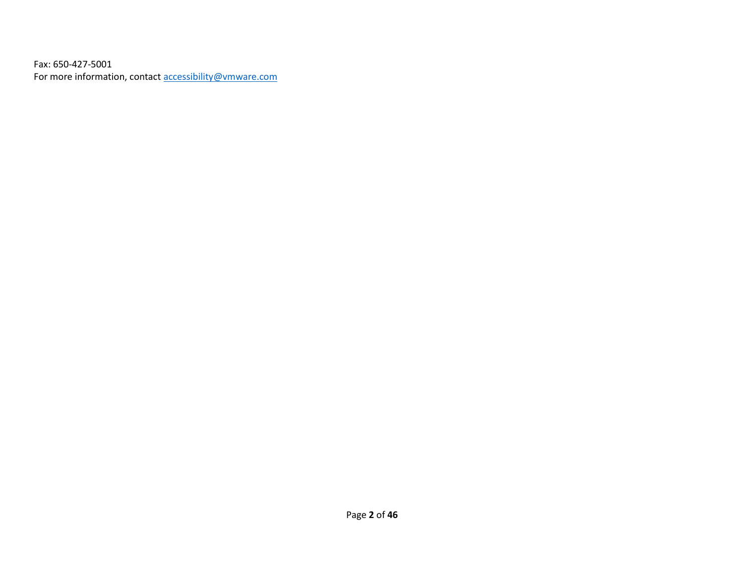Fax: 650-427-5001 For more information, contact **[accessibility@vmware.com](mailto:accessibility@vmware.com)**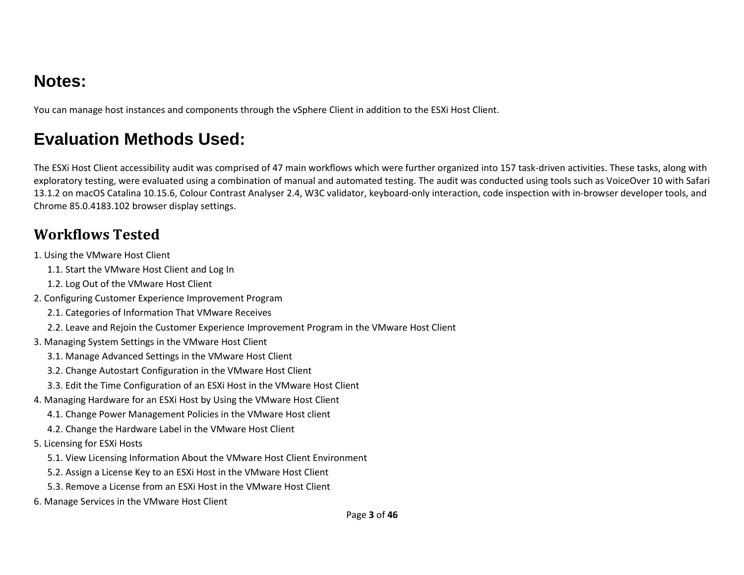## **Notes:**

You can manage host instances and components through the vSphere Client in addition to the ESXi Host Client.

## **Evaluation Methods Used:**

The ESXi Host Client accessibility audit was comprised of 47 main workflows which were further organized into 157 task-driven activities. These tasks, along with exploratory testing, were evaluated using a combination of manual and automated testing. The audit was conducted using tools such as VoiceOver 10 with Safari 13.1.2 on macOS Catalina 10.15.6, Colour Contrast Analyser 2.4, W3C validator, keyboard-only interaction, code inspection with in-browser developer tools, and Chrome 85.0.4183.102 browser display settings.

#### **Workflows Tested**

- 1. Using the VMware Host Client
	- 1.1. Start the VMware Host Client and Log In
	- 1.2. Log Out of the VMware Host Client
- 2. Configuring Customer Experience Improvement Program
	- 2.1. Categories of Information That VMware Receives
	- 2.2. Leave and Rejoin the Customer Experience Improvement Program in the VMware Host Client
- 3. Managing System Settings in the VMware Host Client
	- 3.1. Manage Advanced Settings in the VMware Host Client
	- 3.2. Change Autostart Configuration in the VMware Host Client
	- 3.3. Edit the Time Configuration of an ESXi Host in the VMware Host Client
- 4. Managing Hardware for an ESXi Host by Using the VMware Host Client
	- 4.1. Change Power Management Policies in the VMware Host client
	- 4.2. Change the Hardware Label in the VMware Host Client
- 5. Licensing for ESXi Hosts
	- 5.1. View Licensing Information About the VMware Host Client Environment
	- 5.2. Assign a License Key to an ESXi Host in the VMware Host Client
	- 5.3. Remove a License from an ESXi Host in the VMware Host Client
- 6. Manage Services in the VMware Host Client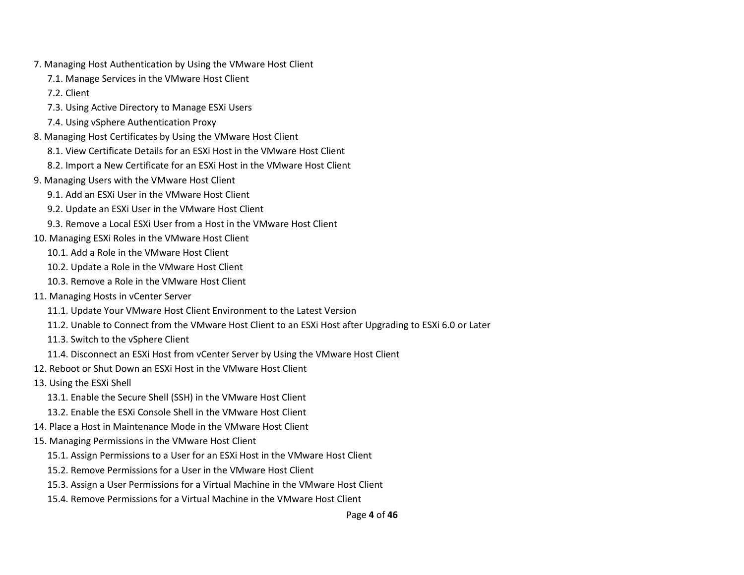- 7. Managing Host Authentication by Using the VMware Host Client
	- 7.1. Manage Services in the VMware Host Client
	- 7.2. Client
	- 7.3. Using Active Directory to Manage ESXi Users
	- 7.4. Using vSphere Authentication Proxy
- 8. Managing Host Certificates by Using the VMware Host Client
	- 8.1. View Certificate Details for an ESXi Host in the VMware Host Client
	- 8.2. Import a New Certificate for an ESXi Host in the VMware Host Client
- 9. Managing Users with the VMware Host Client
	- 9.1. Add an ESXi User in the VMware Host Client
	- 9.2. Update an ESXi User in the VMware Host Client
	- 9.3. Remove a Local ESXi User from a Host in the VMware Host Client
- 10. Managing ESXi Roles in the VMware Host Client
	- 10.1. Add a Role in the VMware Host Client
	- 10.2. Update a Role in the VMware Host Client
	- 10.3. Remove a Role in the VMware Host Client
- 11. Managing Hosts in vCenter Server
	- 11.1. Update Your VMware Host Client Environment to the Latest Version
	- 11.2. Unable to Connect from the VMware Host Client to an ESXi Host after Upgrading to ESXi 6.0 or Later
	- 11.3. Switch to the vSphere Client
	- 11.4. Disconnect an ESXi Host from vCenter Server by Using the VMware Host Client
- 12. Reboot or Shut Down an ESXi Host in the VMware Host Client
- 13. Using the ESXi Shell
	- 13.1. Enable the Secure Shell (SSH) in the VMware Host Client
	- 13.2. Enable the ESXi Console Shell in the VMware Host Client
- 14. Place a Host in Maintenance Mode in the VMware Host Client
- 15. Managing Permissions in the VMware Host Client
	- 15.1. Assign Permissions to a User for an ESXi Host in the VMware Host Client
	- 15.2. Remove Permissions for a User in the VMware Host Client
	- 15.3. Assign a User Permissions for a Virtual Machine in the VMware Host Client
	- 15.4. Remove Permissions for a Virtual Machine in the VMware Host Client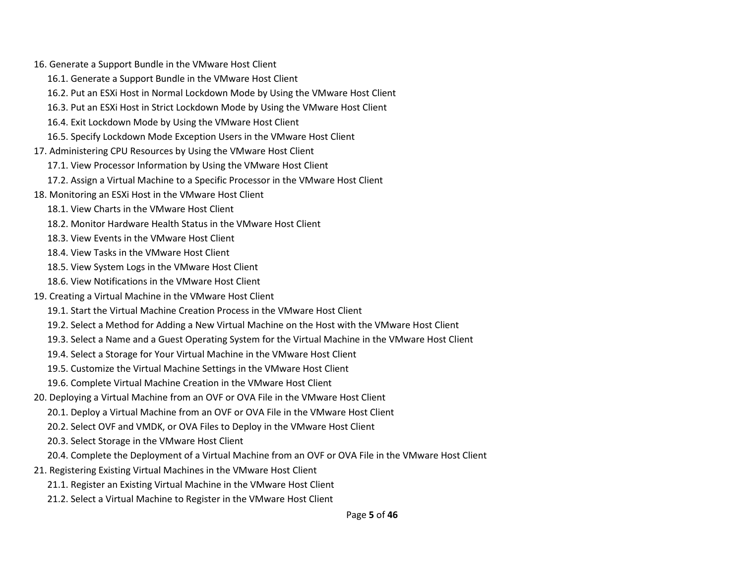16. Generate a Support Bundle in the VMware Host Client

- 16.1. Generate a Support Bundle in the VMware Host Client
- 16.2. Put an ESXi Host in Normal Lockdown Mode by Using the VMware Host Client
- 16.3. Put an ESXi Host in Strict Lockdown Mode by Using the VMware Host Client
- 16.4. Exit Lockdown Mode by Using the VMware Host Client
- 16.5. Specify Lockdown Mode Exception Users in the VMware Host Client
- 17. Administering CPU Resources by Using the VMware Host Client
	- 17.1. View Processor Information by Using the VMware Host Client
	- 17.2. Assign a Virtual Machine to a Specific Processor in the VMware Host Client
- 18. Monitoring an ESXi Host in the VMware Host Client
	- 18.1. View Charts in the VMware Host Client
	- 18.2. Monitor Hardware Health Status in the VMware Host Client
	- 18.3. View Events in the VMware Host Client
	- 18.4. View Tasks in the VMware Host Client
	- 18.5. View System Logs in the VMware Host Client
	- 18.6. View Notifications in the VMware Host Client
- 19. Creating a Virtual Machine in the VMware Host Client
	- 19.1. Start the Virtual Machine Creation Process in the VMware Host Client
	- 19.2. Select a Method for Adding a New Virtual Machine on the Host with the VMware Host Client
	- 19.3. Select a Name and a Guest Operating System for the Virtual Machine in the VMware Host Client
	- 19.4. Select a Storage for Your Virtual Machine in the VMware Host Client
	- 19.5. Customize the Virtual Machine Settings in the VMware Host Client
	- 19.6. Complete Virtual Machine Creation in the VMware Host Client
- 20. Deploying a Virtual Machine from an OVF or OVA File in the VMware Host Client
	- 20.1. Deploy a Virtual Machine from an OVF or OVA File in the VMware Host Client
	- 20.2. Select OVF and VMDK, or OVA Files to Deploy in the VMware Host Client
	- 20.3. Select Storage in the VMware Host Client
	- 20.4. Complete the Deployment of a Virtual Machine from an OVF or OVA File in the VMware Host Client
- 21. Registering Existing Virtual Machines in the VMware Host Client
	- 21.1. Register an Existing Virtual Machine in the VMware Host Client
	- 21.2. Select a Virtual Machine to Register in the VMware Host Client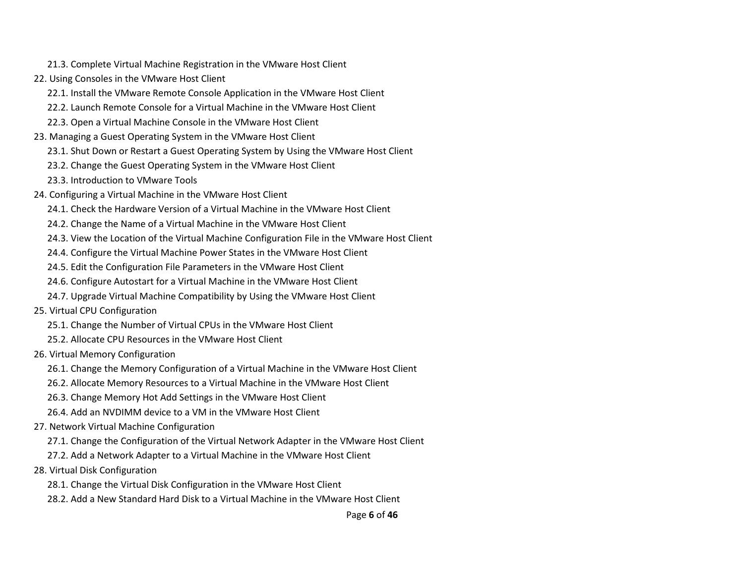- 21.3. Complete Virtual Machine Registration in the VMware Host Client
- 22. Using Consoles in the VMware Host Client
	- 22.1. Install the VMware Remote Console Application in the VMware Host Client
	- 22.2. Launch Remote Console for a Virtual Machine in the VMware Host Client
	- 22.3. Open a Virtual Machine Console in the VMware Host Client
- 23. Managing a Guest Operating System in the VMware Host Client
	- 23.1. Shut Down or Restart a Guest Operating System by Using the VMware Host Client
	- 23.2. Change the Guest Operating System in the VMware Host Client
	- 23.3. Introduction to VMware Tools
- 24. Configuring a Virtual Machine in the VMware Host Client
	- 24.1. Check the Hardware Version of a Virtual Machine in the VMware Host Client
	- 24.2. Change the Name of a Virtual Machine in the VMware Host Client
	- 24.3. View the Location of the Virtual Machine Configuration File in the VMware Host Client
	- 24.4. Configure the Virtual Machine Power States in the VMware Host Client
	- 24.5. Edit the Configuration File Parameters in the VMware Host Client
	- 24.6. Configure Autostart for a Virtual Machine in the VMware Host Client
	- 24.7. Upgrade Virtual Machine Compatibility by Using the VMware Host Client
- 25. Virtual CPU Configuration
	- 25.1. Change the Number of Virtual CPUs in the VMware Host Client
	- 25.2. Allocate CPU Resources in the VMware Host Client
- 26. Virtual Memory Configuration
	- 26.1. Change the Memory Configuration of a Virtual Machine in the VMware Host Client
	- 26.2. Allocate Memory Resources to a Virtual Machine in the VMware Host Client
	- 26.3. Change Memory Hot Add Settings in the VMware Host Client
	- 26.4. Add an NVDIMM device to a VM in the VMware Host Client
- 27. Network Virtual Machine Configuration
	- 27.1. Change the Configuration of the Virtual Network Adapter in the VMware Host Client
	- 27.2. Add a Network Adapter to a Virtual Machine in the VMware Host Client
- 28. Virtual Disk Configuration
	- 28.1. Change the Virtual Disk Configuration in the VMware Host Client
	- 28.2. Add a New Standard Hard Disk to a Virtual Machine in the VMware Host Client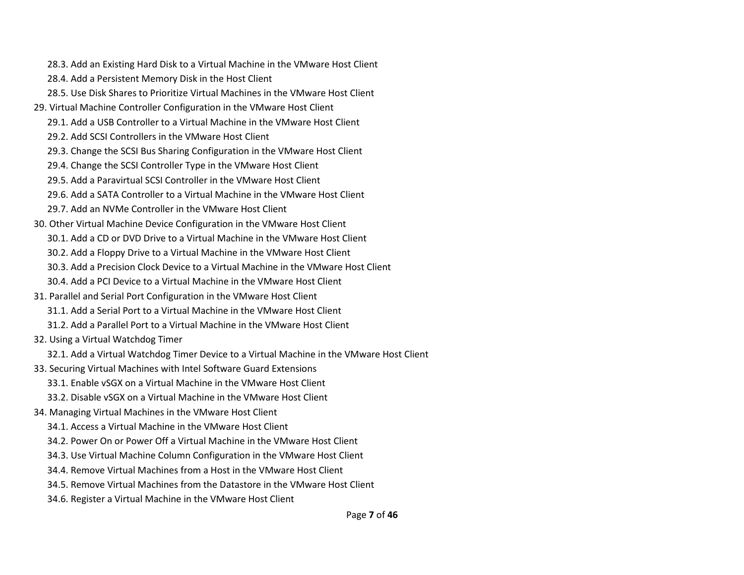- 28.3. Add an Existing Hard Disk to a Virtual Machine in the VMware Host Client
- 28.4. Add a Persistent Memory Disk in the Host Client
- 28.5. Use Disk Shares to Prioritize Virtual Machines in the VMware Host Client
- 29. Virtual Machine Controller Configuration in the VMware Host Client
	- 29.1. Add a USB Controller to a Virtual Machine in the VMware Host Client
	- 29.2. Add SCSI Controllers in the VMware Host Client
	- 29.3. Change the SCSI Bus Sharing Configuration in the VMware Host Client
	- 29.4. Change the SCSI Controller Type in the VMware Host Client
	- 29.5. Add a Paravirtual SCSI Controller in the VMware Host Client
	- 29.6. Add a SATA Controller to a Virtual Machine in the VMware Host Client
	- 29.7. Add an NVMe Controller in the VMware Host Client
- 30. Other Virtual Machine Device Configuration in the VMware Host Client 30.1. Add a CD or DVD Drive to a Virtual Machine in the VMware Host Client 30.2. Add a Floppy Drive to a Virtual Machine in the VMware Host Client
	- 30.3. Add a Precision Clock Device to a Virtual Machine in the VMware Host Client
	- 30.4. Add a PCI Device to a Virtual Machine in the VMware Host Client
- 31. Parallel and Serial Port Configuration in the VMware Host Client
	- 31.1. Add a Serial Port to a Virtual Machine in the VMware Host Client
	- 31.2. Add a Parallel Port to a Virtual Machine in the VMware Host Client
- 32. Using a Virtual Watchdog Timer
	- 32.1. Add a Virtual Watchdog Timer Device to a Virtual Machine in the VMware Host Client
- 33. Securing Virtual Machines with Intel Software Guard Extensions
	- 33.1. Enable vSGX on a Virtual Machine in the VMware Host Client
	- 33.2. Disable vSGX on a Virtual Machine in the VMware Host Client
- 34. Managing Virtual Machines in the VMware Host Client
	- 34.1. Access a Virtual Machine in the VMware Host Client
	- 34.2. Power On or Power Off a Virtual Machine in the VMware Host Client
	- 34.3. Use Virtual Machine Column Configuration in the VMware Host Client
	- 34.4. Remove Virtual Machines from a Host in the VMware Host Client
	- 34.5. Remove Virtual Machines from the Datastore in the VMware Host Client
	- 34.6. Register a Virtual Machine in the VMware Host Client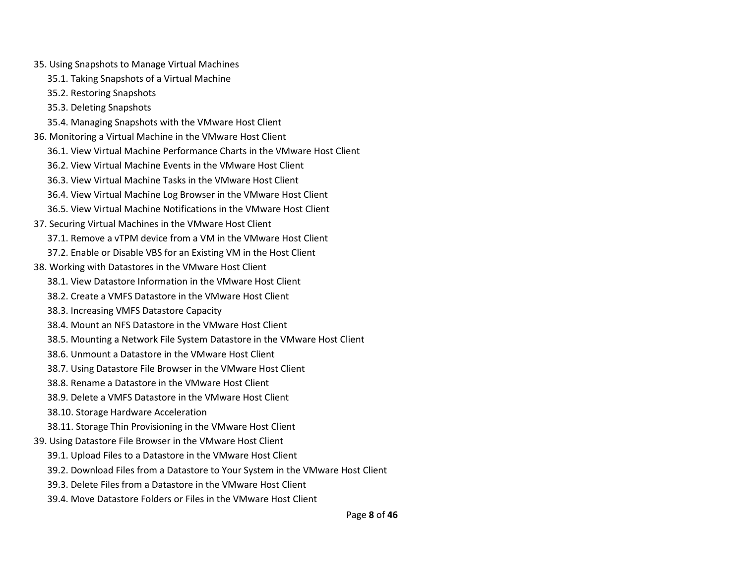- 35. Using Snapshots to Manage Virtual Machines
	- 35.1. Taking Snapshots of a Virtual Machine
	- 35.2. Restoring Snapshots
	- 35.3. Deleting Snapshots
	- 35.4. Managing Snapshots with the VMware Host Client
- 36. Monitoring a Virtual Machine in the VMware Host Client
	- 36.1. View Virtual Machine Performance Charts in the VMware Host Client
	- 36.2. View Virtual Machine Events in the VMware Host Client
	- 36.3. View Virtual Machine Tasks in the VMware Host Client
	- 36.4. View Virtual Machine Log Browser in the VMware Host Client
	- 36.5. View Virtual Machine Notifications in the VMware Host Client
- 37. Securing Virtual Machines in the VMware Host Client
	- 37.1. Remove a vTPM device from a VM in the VMware Host Client
	- 37.2. Enable or Disable VBS for an Existing VM in the Host Client
- 38. Working with Datastores in the VMware Host Client
	- 38.1. View Datastore Information in the VMware Host Client
	- 38.2. Create a VMFS Datastore in the VMware Host Client
	- 38.3. Increasing VMFS Datastore Capacity
	- 38.4. Mount an NFS Datastore in the VMware Host Client
	- 38.5. Mounting a Network File System Datastore in the VMware Host Client
	- 38.6. Unmount a Datastore in the VMware Host Client
	- 38.7. Using Datastore File Browser in the VMware Host Client
	- 38.8. Rename a Datastore in the VMware Host Client
	- 38.9. Delete a VMFS Datastore in the VMware Host Client
	- 38.10. Storage Hardware Acceleration
	- 38.11. Storage Thin Provisioning in the VMware Host Client
- 39. Using Datastore File Browser in the VMware Host Client
	- 39.1. Upload Files to a Datastore in the VMware Host Client
	- 39.2. Download Files from a Datastore to Your System in the VMware Host Client
	- 39.3. Delete Files from a Datastore in the VMware Host Client
	- 39.4. Move Datastore Folders or Files in the VMware Host Client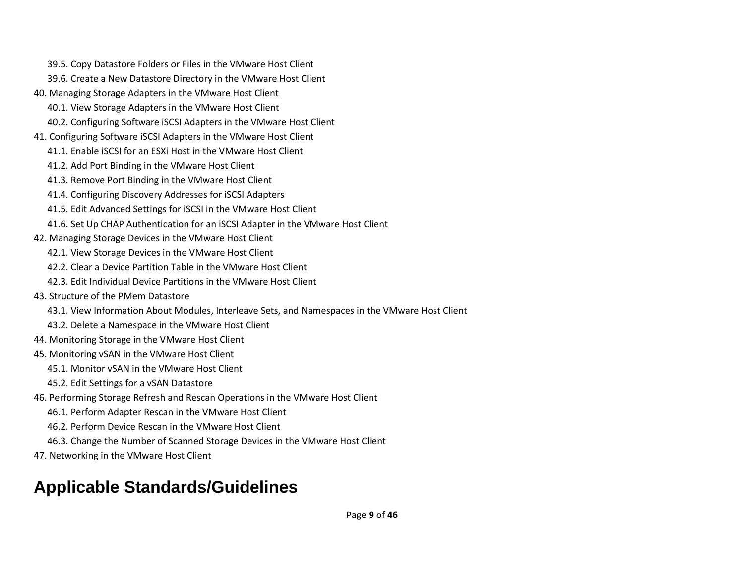- 39.5. Copy Datastore Folders or Files in the VMware Host Client
- 39.6. Create a New Datastore Directory in the VMware Host Client
- 40. Managing Storage Adapters in the VMware Host Client
	- 40.1. View Storage Adapters in the VMware Host Client
	- 40.2. Configuring Software iSCSI Adapters in the VMware Host Client
- 41. Configuring Software iSCSI Adapters in the VMware Host Client
	- 41.1. Enable iSCSI for an ESXi Host in the VMware Host Client
	- 41.2. Add Port Binding in the VMware Host Client
	- 41.3. Remove Port Binding in the VMware Host Client
	- 41.4. Configuring Discovery Addresses for iSCSI Adapters
	- 41.5. Edit Advanced Settings for iSCSI in the VMware Host Client
	- 41.6. Set Up CHAP Authentication for an iSCSI Adapter in the VMware Host Client
- 42. Managing Storage Devices in the VMware Host Client
	- 42.1. View Storage Devices in the VMware Host Client
	- 42.2. Clear a Device Partition Table in the VMware Host Client
	- 42.3. Edit Individual Device Partitions in the VMware Host Client
- 43. Structure of the PMem Datastore
	- 43.1. View Information About Modules, Interleave Sets, and Namespaces in the VMware Host Client
	- 43.2. Delete a Namespace in the VMware Host Client
- 44. Monitoring Storage in the VMware Host Client
- 45. Monitoring vSAN in the VMware Host Client
	- 45.1. Monitor vSAN in the VMware Host Client
	- 45.2. Edit Settings for a vSAN Datastore
- 46. Performing Storage Refresh and Rescan Operations in the VMware Host Client
	- 46.1. Perform Adapter Rescan in the VMware Host Client
	- 46.2. Perform Device Rescan in the VMware Host Client
	- 46.3. Change the Number of Scanned Storage Devices in the VMware Host Client
- 47. Networking in the VMware Host Client

# **Applicable Standards/Guidelines**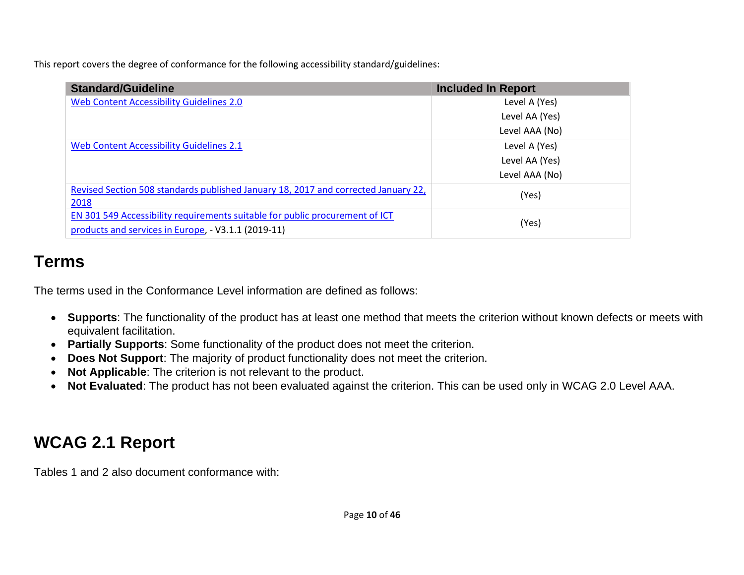This report covers the degree of conformance for the following accessibility standard/guidelines:

| <b>Standard/Guideline</b>                                                                  | <b>Included In Report</b> |
|--------------------------------------------------------------------------------------------|---------------------------|
| Web Content Accessibility Guidelines 2.0                                                   | Level A (Yes)             |
|                                                                                            | Level AA (Yes)            |
|                                                                                            | Level AAA (No)            |
| Web Content Accessibility Guidelines 2.1                                                   | Level A (Yes)             |
|                                                                                            | Level AA (Yes)            |
|                                                                                            | Level AAA (No)            |
| Revised Section 508 standards published January 18, 2017 and corrected January 22,<br>2018 | (Yes)                     |
| EN 301 549 Accessibility requirements suitable for public procurement of ICT               | (Yes)                     |
| products and services in Europe, - V3.1.1 (2019-11)                                        |                           |

## **Terms**

The terms used in the Conformance Level information are defined as follows:

- **Supports**: The functionality of the product has at least one method that meets the criterion without known defects or meets with equivalent facilitation.
- **Partially Supports**: Some functionality of the product does not meet the criterion.
- **Does Not Support**: The majority of product functionality does not meet the criterion.
- **Not Applicable**: The criterion is not relevant to the product.
- **Not Evaluated**: The product has not been evaluated against the criterion. This can be used only in WCAG 2.0 Level AAA.

# **WCAG 2.1 Report**

Tables 1 and 2 also document conformance with: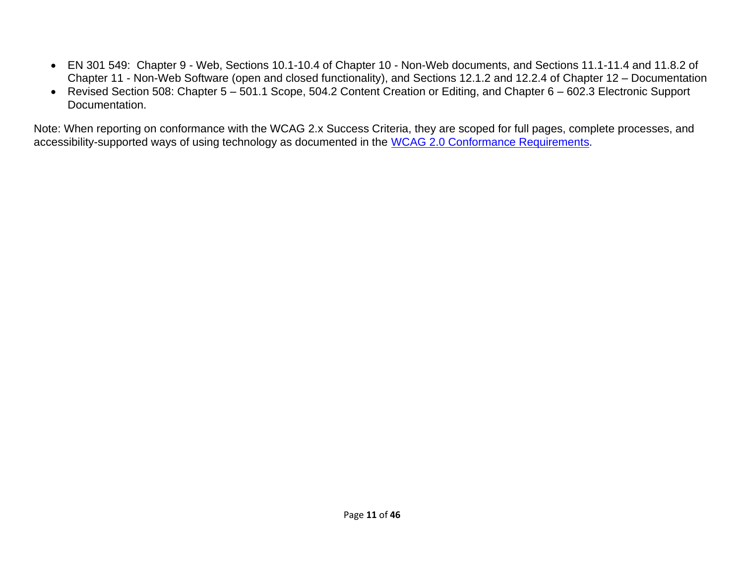- EN 301 549: Chapter 9 Web, Sections 10.1-10.4 of Chapter 10 Non-Web documents, and Sections 11.1-11.4 and 11.8.2 of Chapter 11 - Non-Web Software (open and closed functionality), and Sections 12.1.2 and 12.2.4 of Chapter 12 – Documentation
- Revised Section 508: Chapter 5 501.1 Scope, 504.2 Content Creation or Editing, and Chapter 6 602.3 Electronic Support Documentation.

Note: When reporting on conformance with the WCAG 2.x Success Criteria, they are scoped for full pages, complete processes, and accessibility-supported ways of using technology as documented in the [WCAG 2.0 Conformance Requirements.](https://www.w3.org/TR/WCAG20/#conformance-reqs)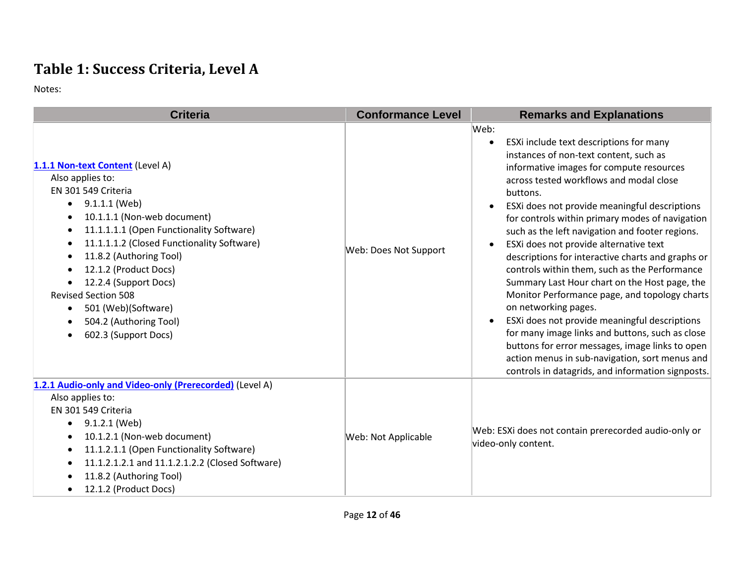## **Table 1: Success Criteria, Level A**

Notes:

| <b>Criteria</b>                                                                                                                                                                                                                                                                                                                                                                                           | <b>Conformance Level</b> | <b>Remarks and Explanations</b>                                                                                                                                                                                                                                                                                                                                                                                                                                                                                                                                                                                                                                                                                                                                                                                                                                                                                                                 |
|-----------------------------------------------------------------------------------------------------------------------------------------------------------------------------------------------------------------------------------------------------------------------------------------------------------------------------------------------------------------------------------------------------------|--------------------------|-------------------------------------------------------------------------------------------------------------------------------------------------------------------------------------------------------------------------------------------------------------------------------------------------------------------------------------------------------------------------------------------------------------------------------------------------------------------------------------------------------------------------------------------------------------------------------------------------------------------------------------------------------------------------------------------------------------------------------------------------------------------------------------------------------------------------------------------------------------------------------------------------------------------------------------------------|
| 1.1.1 Non-text Content (Level A)<br>Also applies to:<br>EN 301 549 Criteria<br>9.1.1.1 (Web)<br>10.1.1.1 (Non-web document)<br>11.1.1.1.1 (Open Functionality Software)<br>11.1.1.1.2 (Closed Functionality Software)<br>11.8.2 (Authoring Tool)<br>12.1.2 (Product Docs)<br>12.2.4 (Support Docs)<br><b>Revised Section 508</b><br>501 (Web)(Software)<br>504.2 (Authoring Tool)<br>602.3 (Support Docs) | Web: Does Not Support    | Web:<br>ESXi include text descriptions for many<br>$\bullet$<br>instances of non-text content, such as<br>informative images for compute resources<br>across tested workflows and modal close<br>buttons.<br>ESXi does not provide meaningful descriptions<br>$\bullet$<br>for controls within primary modes of navigation<br>such as the left navigation and footer regions.<br>ESXi does not provide alternative text<br>$\bullet$<br>descriptions for interactive charts and graphs or<br>controls within them, such as the Performance<br>Summary Last Hour chart on the Host page, the<br>Monitor Performance page, and topology charts<br>on networking pages.<br>ESXi does not provide meaningful descriptions<br>$\bullet$<br>for many image links and buttons, such as close<br>buttons for error messages, image links to open<br>action menus in sub-navigation, sort menus and<br>controls in datagrids, and information signposts. |
| 1.2.1 Audio-only and Video-only (Prerecorded) (Level A)<br>Also applies to:<br>EN 301 549 Criteria<br>9.1.2.1 (Web)<br>10.1.2.1 (Non-web document)<br>11.1.2.1.1 (Open Functionality Software)<br>11.1.2.1.2.1 and 11.1.2.1.2.2 (Closed Software)<br>11.8.2 (Authoring Tool)<br>12.1.2 (Product Docs)                                                                                                     | Web: Not Applicable      | Web: ESXi does not contain prerecorded audio-only or<br>video-only content.                                                                                                                                                                                                                                                                                                                                                                                                                                                                                                                                                                                                                                                                                                                                                                                                                                                                     |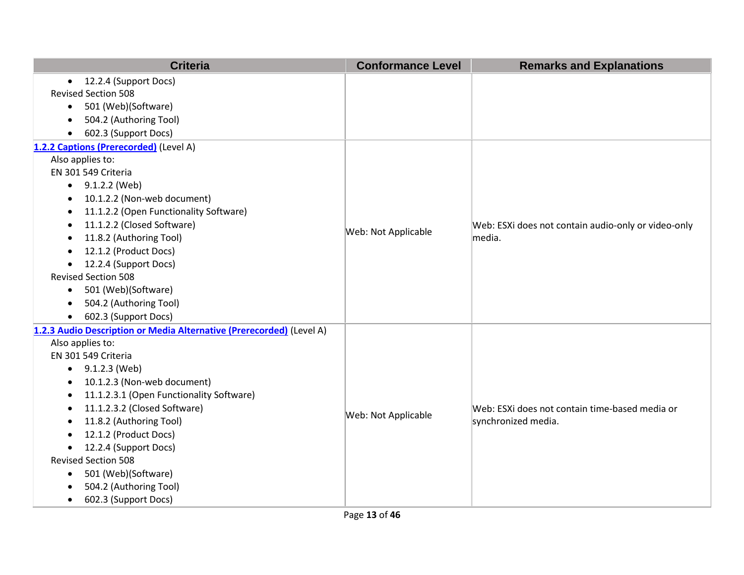| <b>Criteria</b>                                                      | <b>Conformance Level</b> | <b>Remarks and Explanations</b>                     |
|----------------------------------------------------------------------|--------------------------|-----------------------------------------------------|
| 12.2.4 (Support Docs)<br>$\bullet$                                   |                          |                                                     |
| <b>Revised Section 508</b>                                           |                          |                                                     |
| 501 (Web)(Software)<br>$\bullet$                                     |                          |                                                     |
| 504.2 (Authoring Tool)<br>$\bullet$                                  |                          |                                                     |
| 602.3 (Support Docs)<br>$\bullet$                                    |                          |                                                     |
| 1.2.2 Captions (Prerecorded) (Level A)                               |                          |                                                     |
| Also applies to:                                                     |                          |                                                     |
| EN 301 549 Criteria                                                  |                          |                                                     |
| $\bullet$ 9.1.2.2 (Web)                                              |                          |                                                     |
| 10.1.2.2 (Non-web document)<br>$\bullet$                             |                          |                                                     |
| 11.1.2.2 (Open Functionality Software)<br>$\bullet$                  |                          |                                                     |
| 11.1.2.2 (Closed Software)<br>٠                                      | Web: Not Applicable      | Web: ESXi does not contain audio-only or video-only |
| 11.8.2 (Authoring Tool)<br>$\bullet$                                 |                          | media.                                              |
| 12.1.2 (Product Docs)<br>$\bullet$                                   |                          |                                                     |
| 12.2.4 (Support Docs)<br>$\bullet$                                   |                          |                                                     |
| <b>Revised Section 508</b>                                           |                          |                                                     |
| 501 (Web)(Software)<br>$\bullet$                                     |                          |                                                     |
| 504.2 (Authoring Tool)<br>$\bullet$                                  |                          |                                                     |
| 602.3 (Support Docs)<br>$\bullet$                                    |                          |                                                     |
| 1.2.3 Audio Description or Media Alternative (Prerecorded) (Level A) |                          |                                                     |
| Also applies to:                                                     |                          |                                                     |
| EN 301 549 Criteria                                                  |                          |                                                     |
| 9.1.2.3 (Web)<br>$\bullet$                                           |                          |                                                     |
| 10.1.2.3 (Non-web document)<br>$\bullet$                             |                          |                                                     |
| 11.1.2.3.1 (Open Functionality Software)<br>$\bullet$                |                          |                                                     |
| 11.1.2.3.2 (Closed Software)<br>$\bullet$                            | Web: Not Applicable      | Web: ESXi does not contain time-based media or      |
| 11.8.2 (Authoring Tool)<br>$\bullet$                                 |                          | synchronized media.                                 |
| 12.1.2 (Product Docs)<br>$\bullet$                                   |                          |                                                     |
| 12.2.4 (Support Docs)<br>$\bullet$                                   |                          |                                                     |
| <b>Revised Section 508</b>                                           |                          |                                                     |
| 501 (Web)(Software)<br>$\bullet$                                     |                          |                                                     |
| 504.2 (Authoring Tool)<br>$\bullet$                                  |                          |                                                     |
| 602.3 (Support Docs)<br>$\bullet$                                    |                          |                                                     |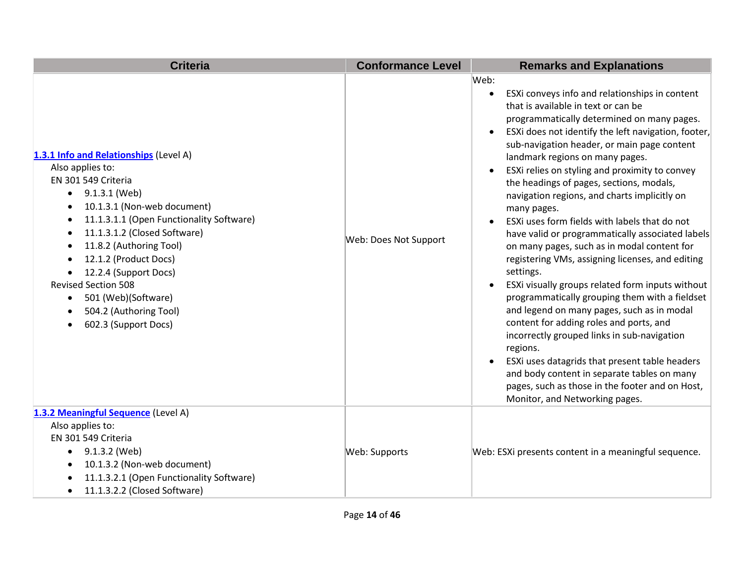| <b>Criteria</b>                                                                                                                                                                                                                                                                                                                                                                                                                          | <b>Conformance Level</b> | <b>Remarks and Explanations</b>                                                                                                                                                                                                                                                                                                                                                                                                                                                                                                                                                                                                                                                                                                                                                                                                                                                                                                                                                                                                                                                                                                                                                                      |
|------------------------------------------------------------------------------------------------------------------------------------------------------------------------------------------------------------------------------------------------------------------------------------------------------------------------------------------------------------------------------------------------------------------------------------------|--------------------------|------------------------------------------------------------------------------------------------------------------------------------------------------------------------------------------------------------------------------------------------------------------------------------------------------------------------------------------------------------------------------------------------------------------------------------------------------------------------------------------------------------------------------------------------------------------------------------------------------------------------------------------------------------------------------------------------------------------------------------------------------------------------------------------------------------------------------------------------------------------------------------------------------------------------------------------------------------------------------------------------------------------------------------------------------------------------------------------------------------------------------------------------------------------------------------------------------|
| 1.3.1 Info and Relationships (Level A)<br>Also applies to:<br>EN 301 549 Criteria<br>9.1.3.1 (Web)<br>$\bullet$<br>10.1.3.1 (Non-web document)<br>$\bullet$<br>11.1.3.1.1 (Open Functionality Software)<br>11.1.3.1.2 (Closed Software)<br>11.8.2 (Authoring Tool)<br>12.1.2 (Product Docs)<br>12.2.4 (Support Docs)<br><b>Revised Section 508</b><br>501 (Web)(Software)<br>$\bullet$<br>504.2 (Authoring Tool)<br>602.3 (Support Docs) | Web: Does Not Support    | Web:<br>ESXi conveys info and relationships in content<br>$\bullet$<br>that is available in text or can be<br>programmatically determined on many pages.<br>ESXi does not identify the left navigation, footer,<br>$\bullet$<br>sub-navigation header, or main page content<br>landmark regions on many pages.<br>ESXi relies on styling and proximity to convey<br>$\bullet$<br>the headings of pages, sections, modals,<br>navigation regions, and charts implicitly on<br>many pages.<br>ESXi uses form fields with labels that do not<br>$\bullet$<br>have valid or programmatically associated labels<br>on many pages, such as in modal content for<br>registering VMs, assigning licenses, and editing<br>settings.<br>ESXi visually groups related form inputs without<br>$\bullet$<br>programmatically grouping them with a fieldset<br>and legend on many pages, such as in modal<br>content for adding roles and ports, and<br>incorrectly grouped links in sub-navigation<br>regions.<br>ESXi uses datagrids that present table headers<br>$\bullet$<br>and body content in separate tables on many<br>pages, such as those in the footer and on Host,<br>Monitor, and Networking pages. |
| 1.3.2 Meaningful Sequence (Level A)<br>Also applies to:<br>EN 301 549 Criteria<br>9.1.3.2 (Web)<br>10.1.3.2 (Non-web document)<br>11.1.3.2.1 (Open Functionality Software)<br>11.1.3.2.2 (Closed Software)<br>$\bullet$                                                                                                                                                                                                                  | Web: Supports            | Web: ESXi presents content in a meaningful sequence.                                                                                                                                                                                                                                                                                                                                                                                                                                                                                                                                                                                                                                                                                                                                                                                                                                                                                                                                                                                                                                                                                                                                                 |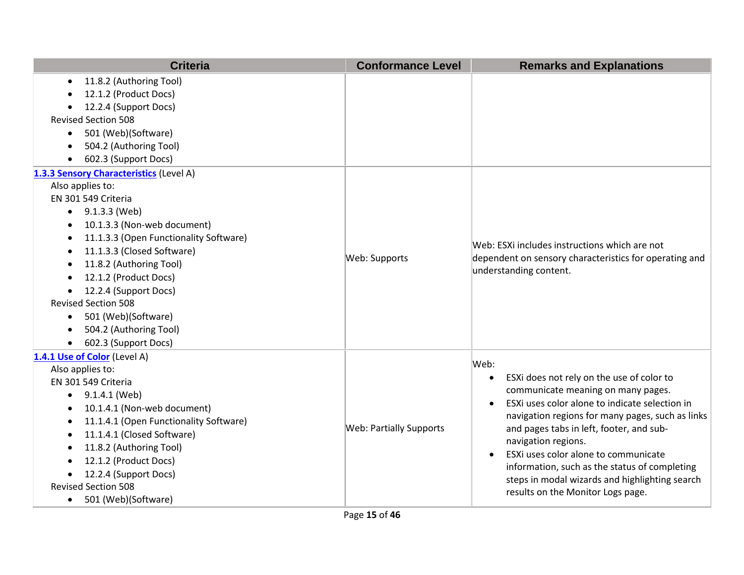| <b>Criteria</b>                                     | <b>Conformance Level</b>       | <b>Remarks and Explanations</b>                                                              |
|-----------------------------------------------------|--------------------------------|----------------------------------------------------------------------------------------------|
| 11.8.2 (Authoring Tool)<br>$\bullet$                |                                |                                                                                              |
| 12.1.2 (Product Docs)                               |                                |                                                                                              |
| 12.2.4 (Support Docs)                               |                                |                                                                                              |
| <b>Revised Section 508</b>                          |                                |                                                                                              |
| 501 (Web)(Software)<br>$\bullet$                    |                                |                                                                                              |
| 504.2 (Authoring Tool)                              |                                |                                                                                              |
| 602.3 (Support Docs)                                |                                |                                                                                              |
| 1.3.3 Sensory Characteristics (Level A)             |                                |                                                                                              |
| Also applies to:                                    |                                |                                                                                              |
| EN 301 549 Criteria                                 |                                |                                                                                              |
| 9.1.3.3 (Web)<br>$\bullet$                          |                                |                                                                                              |
| 10.1.3.3 (Non-web document)                         |                                |                                                                                              |
| 11.1.3.3 (Open Functionality Software)<br>$\bullet$ |                                | Web: ESXi includes instructions which are not                                                |
| 11.1.3.3 (Closed Software)<br>$\bullet$             | Web: Supports                  | dependent on sensory characteristics for operating and                                       |
| 11.8.2 (Authoring Tool)<br>$\bullet$                |                                | understanding content.                                                                       |
| 12.1.2 (Product Docs)                               |                                |                                                                                              |
| 12.2.4 (Support Docs)                               |                                |                                                                                              |
| <b>Revised Section 508</b>                          |                                |                                                                                              |
| 501 (Web)(Software)<br>$\bullet$                    |                                |                                                                                              |
| 504.2 (Authoring Tool)                              |                                |                                                                                              |
| 602.3 (Support Docs)<br>$\bullet$                   |                                |                                                                                              |
| 1.4.1 Use of Color (Level A)                        |                                | Web:                                                                                         |
| Also applies to:                                    |                                |                                                                                              |
| EN 301 549 Criteria                                 |                                | ESXi does not rely on the use of color to<br>$\bullet$<br>communicate meaning on many pages. |
| 9.1.4.1 (Web)                                       |                                | ESXi uses color alone to indicate selection in                                               |
| 10.1.4.1 (Non-web document)<br>$\bullet$            |                                | navigation regions for many pages, such as links                                             |
| 11.1.4.1 (Open Functionality Software)<br>$\bullet$ | <b>Web: Partially Supports</b> | and pages tabs in left, footer, and sub-                                                     |
| 11.1.4.1 (Closed Software)<br>$\bullet$             |                                | navigation regions.                                                                          |
| 11.8.2 (Authoring Tool)                             |                                | ESXi uses color alone to communicate                                                         |
| 12.1.2 (Product Docs)                               |                                | information, such as the status of completing                                                |
| 12.2.4 (Support Docs)                               |                                | steps in modal wizards and highlighting search                                               |
| <b>Revised Section 508</b>                          |                                | results on the Monitor Logs page.                                                            |
| 501 (Web)(Software)<br>$\bullet$                    |                                |                                                                                              |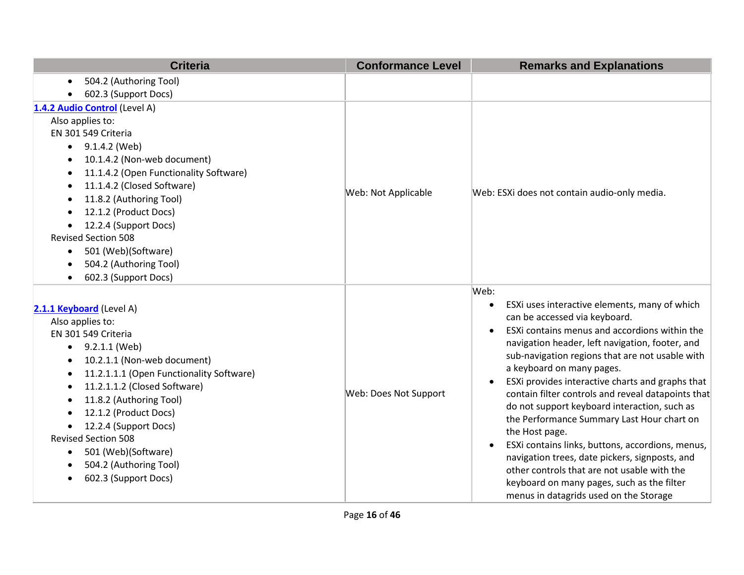| <b>Criteria</b>                                                                      | <b>Conformance Level</b> | <b>Remarks and Explanations</b>                                    |
|--------------------------------------------------------------------------------------|--------------------------|--------------------------------------------------------------------|
| 504.2 (Authoring Tool)<br>$\bullet$                                                  |                          |                                                                    |
| 602.3 (Support Docs)                                                                 |                          |                                                                    |
| 1.4.2 Audio Control (Level A)                                                        |                          |                                                                    |
| Also applies to:                                                                     |                          |                                                                    |
| EN 301 549 Criteria                                                                  |                          |                                                                    |
| 9.1.4.2 (Web)<br>$\bullet$                                                           |                          |                                                                    |
| 10.1.4.2 (Non-web document)<br>$\bullet$                                             |                          |                                                                    |
| 11.1.4.2 (Open Functionality Software)<br>$\bullet$                                  |                          |                                                                    |
| 11.1.4.2 (Closed Software)<br>$\bullet$                                              | Web: Not Applicable      | Web: ESXi does not contain audio-only media.                       |
| 11.8.2 (Authoring Tool)                                                              |                          |                                                                    |
| 12.1.2 (Product Docs)<br>$\bullet$                                                   |                          |                                                                    |
| 12.2.4 (Support Docs)<br>$\bullet$                                                   |                          |                                                                    |
| <b>Revised Section 508</b>                                                           |                          |                                                                    |
| 501 (Web)(Software)<br>$\bullet$                                                     |                          |                                                                    |
| 504.2 (Authoring Tool)                                                               |                          |                                                                    |
| 602.3 (Support Docs)<br>$\bullet$                                                    |                          |                                                                    |
|                                                                                      |                          | Web:<br>ESXi uses interactive elements, many of which<br>$\bullet$ |
| 2.1.1 Keyboard (Level A)                                                             |                          | can be accessed via keyboard.                                      |
| Also applies to:                                                                     |                          | ESXi contains menus and accordions within the                      |
| EN 301 549 Criteria                                                                  |                          | navigation header, left navigation, footer, and                    |
| 9.2.1.1 (Web)<br>$\bullet$                                                           |                          | sub-navigation regions that are not usable with                    |
| 10.2.1.1 (Non-web document)<br>$\bullet$<br>11.2.1.1.1 (Open Functionality Software) |                          | a keyboard on many pages.                                          |
| $\bullet$<br>11.2.1.1.2 (Closed Software)                                            |                          | ESXi provides interactive charts and graphs that<br>$\bullet$      |
| $\bullet$<br>11.8.2 (Authoring Tool)<br>٠                                            | Web: Does Not Support    | contain filter controls and reveal datapoints that                 |
| 12.1.2 (Product Docs)                                                                |                          | do not support keyboard interaction, such as                       |
| 12.2.4 (Support Docs)                                                                |                          | the Performance Summary Last Hour chart on                         |
| <b>Revised Section 508</b>                                                           |                          | the Host page.                                                     |
| 501 (Web)(Software)<br>$\bullet$                                                     |                          | ESXi contains links, buttons, accordions, menus,<br>$\bullet$      |
| 504.2 (Authoring Tool)                                                               |                          | navigation trees, date pickers, signposts, and                     |
| 602.3 (Support Docs)<br>$\bullet$                                                    |                          | other controls that are not usable with the                        |
|                                                                                      |                          | keyboard on many pages, such as the filter                         |
|                                                                                      |                          | menus in datagrids used on the Storage                             |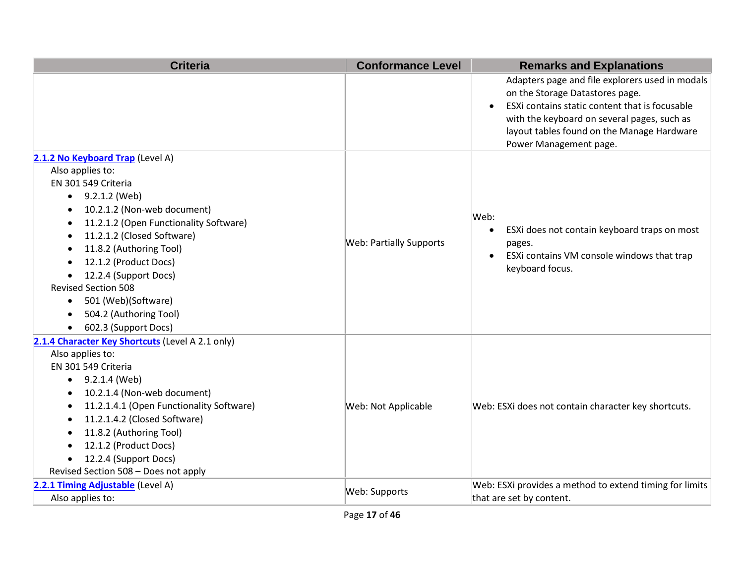| <b>Criteria</b>                                                                                                                                                                                                                                                                                                                                                                                                | <b>Conformance Level</b>       | <b>Remarks and Explanations</b>                                                                                                                                                                                                                                          |
|----------------------------------------------------------------------------------------------------------------------------------------------------------------------------------------------------------------------------------------------------------------------------------------------------------------------------------------------------------------------------------------------------------------|--------------------------------|--------------------------------------------------------------------------------------------------------------------------------------------------------------------------------------------------------------------------------------------------------------------------|
|                                                                                                                                                                                                                                                                                                                                                                                                                |                                | Adapters page and file explorers used in modals<br>on the Storage Datastores page.<br>ESXi contains static content that is focusable<br>$\bullet$<br>with the keyboard on several pages, such as<br>layout tables found on the Manage Hardware<br>Power Management page. |
| 2.1.2 No Keyboard Trap (Level A)<br>Also applies to:<br>EN 301 549 Criteria<br>$\bullet$ 9.2.1.2 (Web)<br>10.2.1.2 (Non-web document)<br>11.2.1.2 (Open Functionality Software)<br>11.2.1.2 (Closed Software)<br>11.8.2 (Authoring Tool)<br>12.1.2 (Product Docs)<br>12.2.4 (Support Docs)<br><b>Revised Section 508</b><br>501 (Web)(Software)<br>$\bullet$<br>504.2 (Authoring Tool)<br>602.3 (Support Docs) | <b>Web: Partially Supports</b> | Web:<br>ESXi does not contain keyboard traps on most<br>$\bullet$<br>pages.<br>ESXi contains VM console windows that trap<br>$\bullet$<br>keyboard focus.                                                                                                                |
| 2.1.4 Character Key Shortcuts (Level A 2.1 only)<br>Also applies to:<br>EN 301 549 Criteria<br>9.2.1.4 (Web)<br>$\bullet$<br>10.2.1.4 (Non-web document)<br>11.2.1.4.1 (Open Functionality Software)<br>11.2.1.4.2 (Closed Software)<br>11.8.2 (Authoring Tool)<br>12.1.2 (Product Docs)<br>$\bullet$<br>12.2.4 (Support Docs)<br>Revised Section 508 - Does not apply                                         | Web: Not Applicable            | Web: ESXi does not contain character key shortcuts.                                                                                                                                                                                                                      |
| 2.2.1 Timing Adjustable (Level A)<br>Also applies to:                                                                                                                                                                                                                                                                                                                                                          | Web: Supports                  | Web: ESXi provides a method to extend timing for limits<br>that are set by content.                                                                                                                                                                                      |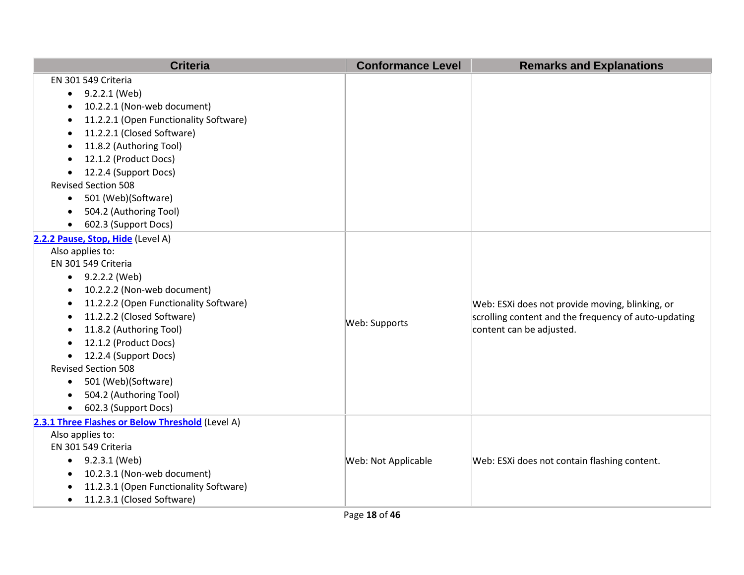| <b>Criteria</b>                                  | <b>Conformance Level</b> | <b>Remarks and Explanations</b>                      |
|--------------------------------------------------|--------------------------|------------------------------------------------------|
| EN 301 549 Criteria                              |                          |                                                      |
| 9.2.2.1 (Web)<br>$\bullet$                       |                          |                                                      |
| 10.2.2.1 (Non-web document)                      |                          |                                                      |
| 11.2.2.1 (Open Functionality Software)           |                          |                                                      |
| 11.2.2.1 (Closed Software)<br>$\bullet$          |                          |                                                      |
| 11.8.2 (Authoring Tool)                          |                          |                                                      |
| 12.1.2 (Product Docs)                            |                          |                                                      |
| 12.2.4 (Support Docs)                            |                          |                                                      |
| <b>Revised Section 508</b>                       |                          |                                                      |
| 501 (Web)(Software)<br>$\bullet$                 |                          |                                                      |
| 504.2 (Authoring Tool)<br>$\bullet$              |                          |                                                      |
| 602.3 (Support Docs)<br>$\bullet$                |                          |                                                      |
| 2.2.2 Pause, Stop, Hide (Level A)                |                          |                                                      |
| Also applies to:                                 |                          |                                                      |
| EN 301 549 Criteria                              |                          |                                                      |
| $-9.2.2.2$ (Web)                                 |                          |                                                      |
| 10.2.2.2 (Non-web document)<br>$\bullet$         |                          |                                                      |
| 11.2.2.2 (Open Functionality Software)           |                          | Web: ESXi does not provide moving, blinking, or      |
| 11.2.2.2 (Closed Software)                       | Web: Supports            | scrolling content and the frequency of auto-updating |
| 11.8.2 (Authoring Tool)                          |                          | content can be adjusted.                             |
| 12.1.2 (Product Docs)                            |                          |                                                      |
| 12.2.4 (Support Docs)<br>$\bullet$               |                          |                                                      |
| <b>Revised Section 508</b>                       |                          |                                                      |
| 501 (Web)(Software)<br>$\bullet$                 |                          |                                                      |
| 504.2 (Authoring Tool)                           |                          |                                                      |
| 602.3 (Support Docs)                             |                          |                                                      |
| 2.3.1 Three Flashes or Below Threshold (Level A) |                          |                                                      |
| Also applies to:                                 |                          |                                                      |
| EN 301 549 Criteria                              |                          |                                                      |
| $\bullet$ 9.2.3.1 (Web)                          | Web: Not Applicable      | Web: ESXi does not contain flashing content.         |
| 10.2.3.1 (Non-web document)                      |                          |                                                      |
| 11.2.3.1 (Open Functionality Software)           |                          |                                                      |
| 11.2.3.1 (Closed Software)<br>$\bullet$          |                          |                                                      |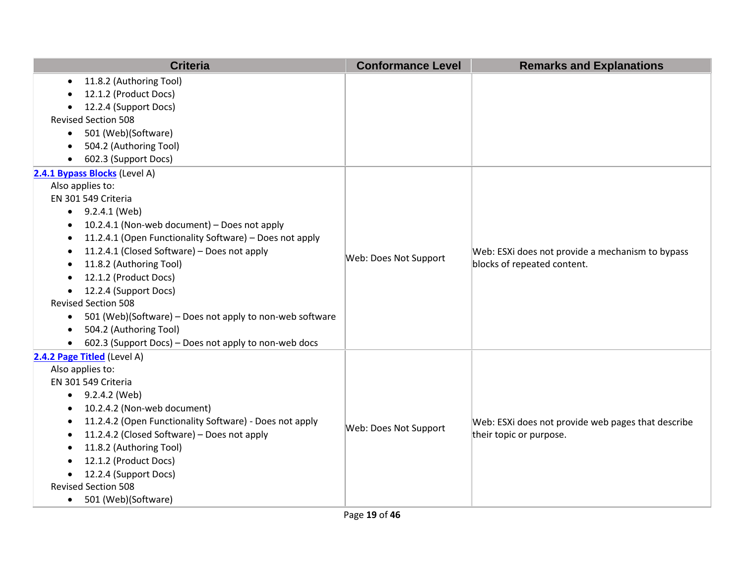| <b>Criteria</b>                                                       | <b>Conformance Level</b> | <b>Remarks and Explanations</b>                                                 |
|-----------------------------------------------------------------------|--------------------------|---------------------------------------------------------------------------------|
| 11.8.2 (Authoring Tool)<br>$\bullet$                                  |                          |                                                                                 |
| 12.1.2 (Product Docs)<br>$\bullet$                                    |                          |                                                                                 |
| 12.2.4 (Support Docs)                                                 |                          |                                                                                 |
| <b>Revised Section 508</b>                                            |                          |                                                                                 |
| 501 (Web)(Software)<br>$\bullet$                                      |                          |                                                                                 |
| 504.2 (Authoring Tool)                                                |                          |                                                                                 |
| 602.3 (Support Docs)<br>$\bullet$                                     |                          |                                                                                 |
| 2.4.1 Bypass Blocks (Level A)                                         |                          |                                                                                 |
| Also applies to:                                                      |                          |                                                                                 |
| EN 301 549 Criteria                                                   |                          |                                                                                 |
| $\bullet$ 9.2.4.1 (Web)                                               |                          |                                                                                 |
| 10.2.4.1 (Non-web document) - Does not apply<br>$\bullet$             |                          |                                                                                 |
| 11.2.4.1 (Open Functionality Software) - Does not apply<br>$\bullet$  |                          |                                                                                 |
| 11.2.4.1 (Closed Software) - Does not apply<br>$\bullet$              | Web: Does Not Support    | Web: ESXi does not provide a mechanism to bypass<br>blocks of repeated content. |
| 11.8.2 (Authoring Tool)<br>$\bullet$                                  |                          |                                                                                 |
| 12.1.2 (Product Docs)<br>$\bullet$                                    |                          |                                                                                 |
| 12.2.4 (Support Docs)<br>$\bullet$                                    |                          |                                                                                 |
| <b>Revised Section 508</b>                                            |                          |                                                                                 |
| 501 (Web)(Software) – Does not apply to non-web software<br>$\bullet$ |                          |                                                                                 |
| 504.2 (Authoring Tool)<br>$\bullet$                                   |                          |                                                                                 |
| 602.3 (Support Docs) - Does not apply to non-web docs<br>$\bullet$    |                          |                                                                                 |
| 2.4.2 Page Titled (Level A)                                           |                          |                                                                                 |
| Also applies to:                                                      |                          |                                                                                 |
| EN 301 549 Criteria                                                   |                          |                                                                                 |
| 9.2.4.2 (Web)<br>$\bullet$                                            |                          |                                                                                 |
| 10.2.4.2 (Non-web document)<br>$\bullet$                              |                          |                                                                                 |
| 11.2.4.2 (Open Functionality Software) - Does not apply<br>$\bullet$  | Web: Does Not Support    | Web: ESXi does not provide web pages that describe                              |
| 11.2.4.2 (Closed Software) - Does not apply<br>٠                      |                          | their topic or purpose.                                                         |
| 11.8.2 (Authoring Tool)<br>$\bullet$                                  |                          |                                                                                 |
| 12.1.2 (Product Docs)                                                 |                          |                                                                                 |
| 12.2.4 (Support Docs)<br>$\bullet$                                    |                          |                                                                                 |
| <b>Revised Section 508</b>                                            |                          |                                                                                 |
| 501 (Web)(Software)<br>$\bullet$                                      |                          |                                                                                 |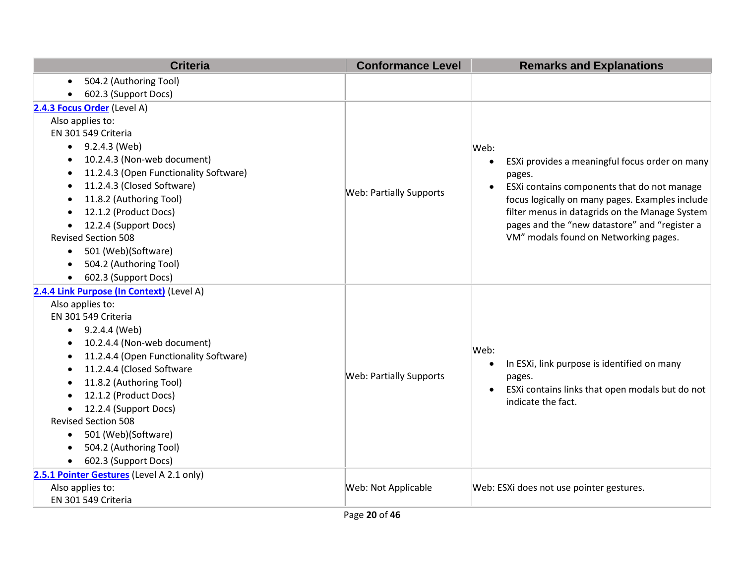| <b>Criteria</b>                                     | <b>Conformance Level</b>       | <b>Remarks and Explanations</b>                          |
|-----------------------------------------------------|--------------------------------|----------------------------------------------------------|
| 504.2 (Authoring Tool)<br>$\bullet$                 |                                |                                                          |
| 602.3 (Support Docs)                                |                                |                                                          |
| 2.4.3 Focus Order (Level A)                         |                                |                                                          |
| Also applies to:                                    |                                |                                                          |
| EN 301 549 Criteria                                 |                                |                                                          |
| $\bullet$ 9.2.4.3 (Web)                             |                                | Web:                                                     |
| 10.2.4.3 (Non-web document)                         |                                | ESXi provides a meaningful focus order on many           |
| 11.2.4.3 (Open Functionality Software)<br>$\bullet$ |                                | pages.                                                   |
| 11.2.4.3 (Closed Software)<br>$\bullet$             | <b>Web: Partially Supports</b> | ESXi contains components that do not manage<br>$\bullet$ |
| 11.8.2 (Authoring Tool)                             |                                | focus logically on many pages. Examples include          |
| 12.1.2 (Product Docs)<br>$\bullet$                  |                                | filter menus in datagrids on the Manage System           |
| 12.2.4 (Support Docs)                               |                                | pages and the "new datastore" and "register a            |
| <b>Revised Section 508</b>                          |                                | VM" modals found on Networking pages.                    |
| 501 (Web)(Software)<br>$\bullet$                    |                                |                                                          |
| 504.2 (Authoring Tool)<br>$\bullet$                 |                                |                                                          |
| 602.3 (Support Docs)<br>$\bullet$                   |                                |                                                          |
| 2.4.4 Link Purpose (In Context) (Level A)           |                                |                                                          |
| Also applies to:                                    |                                |                                                          |
| EN 301 549 Criteria                                 |                                |                                                          |
| 9.2.4.4 (Web)<br>$\bullet$                          |                                |                                                          |
| 10.2.4.4 (Non-web document)<br>$\bullet$            |                                | Web:                                                     |
| 11.2.4.4 (Open Functionality Software)<br>$\bullet$ |                                | In ESXi, link purpose is identified on many<br>$\bullet$ |
| 11.2.4.4 (Closed Software                           | <b>Web: Partially Supports</b> | pages.                                                   |
| 11.8.2 (Authoring Tool)<br>$\bullet$                |                                | ESXi contains links that open modals but do not          |
| 12.1.2 (Product Docs)                               |                                | indicate the fact.                                       |
| 12.2.4 (Support Docs)                               |                                |                                                          |
| <b>Revised Section 508</b>                          |                                |                                                          |
| 501 (Web)(Software)<br>$\bullet$                    |                                |                                                          |
| 504.2 (Authoring Tool)<br>$\bullet$                 |                                |                                                          |
| 602.3 (Support Docs)<br>$\bullet$                   |                                |                                                          |
| 2.5.1 Pointer Gestures (Level A 2.1 only)           |                                |                                                          |
| Also applies to:                                    | Web: Not Applicable            | Web: ESXi does not use pointer gestures.                 |
| EN 301 549 Criteria                                 |                                |                                                          |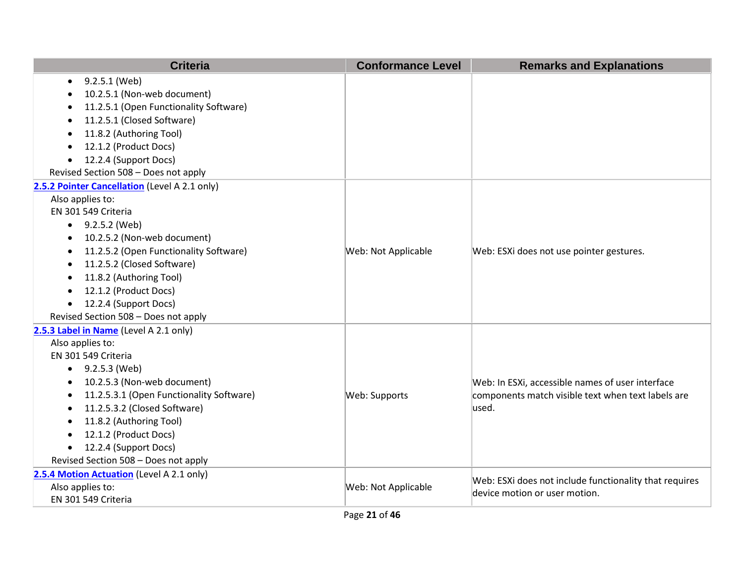| <b>Criteria</b>                               | <b>Conformance Level</b> | <b>Remarks and Explanations</b>                        |
|-----------------------------------------------|--------------------------|--------------------------------------------------------|
| 9.2.5.1 (Web)                                 |                          |                                                        |
| 10.2.5.1 (Non-web document)                   |                          |                                                        |
| 11.2.5.1 (Open Functionality Software)        |                          |                                                        |
| 11.2.5.1 (Closed Software)                    |                          |                                                        |
| 11.8.2 (Authoring Tool)                       |                          |                                                        |
| 12.1.2 (Product Docs)                         |                          |                                                        |
| 12.2.4 (Support Docs)                         |                          |                                                        |
| Revised Section 508 - Does not apply          |                          |                                                        |
| 2.5.2 Pointer Cancellation (Level A 2.1 only) |                          |                                                        |
| Also applies to:                              |                          |                                                        |
| EN 301 549 Criteria                           |                          |                                                        |
| $\bullet$ 9.2.5.2 (Web)                       |                          |                                                        |
| 10.2.5.2 (Non-web document)                   |                          |                                                        |
| 11.2.5.2 (Open Functionality Software)        | Web: Not Applicable      | Web: ESXi does not use pointer gestures.               |
| 11.2.5.2 (Closed Software)                    |                          |                                                        |
| 11.8.2 (Authoring Tool)                       |                          |                                                        |
| 12.1.2 (Product Docs)                         |                          |                                                        |
| 12.2.4 (Support Docs)                         |                          |                                                        |
| Revised Section 508 - Does not apply          |                          |                                                        |
| 2.5.3 Label in Name (Level A 2.1 only)        |                          |                                                        |
| Also applies to:                              |                          |                                                        |
| EN 301 549 Criteria                           |                          |                                                        |
| $\bullet$ 9.2.5.3 (Web)                       |                          |                                                        |
| 10.2.5.3 (Non-web document)                   |                          | Web: In ESXi, accessible names of user interface       |
| 11.2.5.3.1 (Open Functionality Software)      | Web: Supports            | components match visible text when text labels are     |
| 11.2.5.3.2 (Closed Software)                  |                          | used.                                                  |
| 11.8.2 (Authoring Tool)                       |                          |                                                        |
| 12.1.2 (Product Docs)                         |                          |                                                        |
| 12.2.4 (Support Docs)<br>$\bullet$            |                          |                                                        |
| Revised Section 508 - Does not apply          |                          |                                                        |
| 2.5.4 Motion Actuation (Level A 2.1 only)     |                          | Web: ESXi does not include functionality that requires |
| Also applies to:                              | Web: Not Applicable      | device motion or user motion.                          |
| EN 301 549 Criteria                           |                          |                                                        |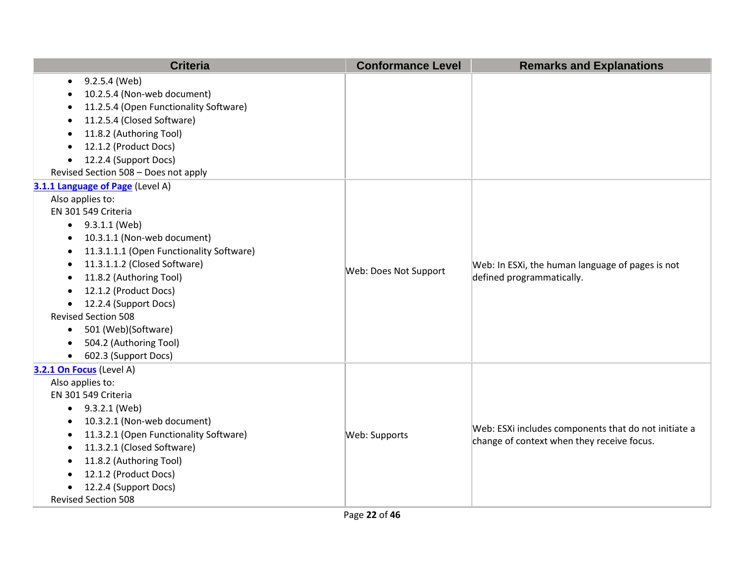| <b>Criteria</b>                                       | <b>Conformance Level</b> | <b>Remarks and Explanations</b>                                               |
|-------------------------------------------------------|--------------------------|-------------------------------------------------------------------------------|
| 9.2.5.4 (Web)<br>٠                                    |                          |                                                                               |
| 10.2.5.4 (Non-web document)                           |                          |                                                                               |
| 11.2.5.4 (Open Functionality Software)                |                          |                                                                               |
| 11.2.5.4 (Closed Software)                            |                          |                                                                               |
| 11.8.2 (Authoring Tool)                               |                          |                                                                               |
| 12.1.2 (Product Docs)                                 |                          |                                                                               |
| 12.2.4 (Support Docs)<br>$\bullet$                    |                          |                                                                               |
| Revised Section 508 - Does not apply                  |                          |                                                                               |
| 3.1.1 Language of Page (Level A)                      |                          |                                                                               |
| Also applies to:                                      |                          |                                                                               |
| EN 301 549 Criteria                                   |                          |                                                                               |
| $\bullet$ 9.3.1.1 (Web)                               |                          |                                                                               |
| 10.3.1.1 (Non-web document)                           |                          | Web: In ESXi, the human language of pages is not<br>defined programmatically. |
| 11.3.1.1.1 (Open Functionality Software)<br>$\bullet$ |                          |                                                                               |
| 11.3.1.1.2 (Closed Software)                          | Web: Does Not Support    |                                                                               |
| 11.8.2 (Authoring Tool)                               |                          |                                                                               |
| 12.1.2 (Product Docs)<br>$\bullet$                    |                          |                                                                               |
| 12.2.4 (Support Docs)<br>$\bullet$                    |                          |                                                                               |
| <b>Revised Section 508</b>                            |                          |                                                                               |
| 501 (Web)(Software)<br>٠                              |                          |                                                                               |
| 504.2 (Authoring Tool)                                |                          |                                                                               |
| 602.3 (Support Docs)<br>$\bullet$                     |                          |                                                                               |
| 3.2.1 On Focus (Level A)                              |                          |                                                                               |
| Also applies to:                                      |                          |                                                                               |
| EN 301 549 Criteria                                   |                          |                                                                               |
| 9.3.2.1 (Web)<br>$\bullet$                            |                          |                                                                               |
| 10.3.2.1 (Non-web document)                           |                          | Web: ESXi includes components that do not initiate a                          |
| 11.3.2.1 (Open Functionality Software)                | Web: Supports            | change of context when they receive focus.                                    |
| 11.3.2.1 (Closed Software)<br>٠                       |                          |                                                                               |
| 11.8.2 (Authoring Tool)                               |                          |                                                                               |
| 12.1.2 (Product Docs)                                 |                          |                                                                               |
| 12.2.4 (Support Docs)                                 |                          |                                                                               |
| <b>Revised Section 508</b>                            |                          |                                                                               |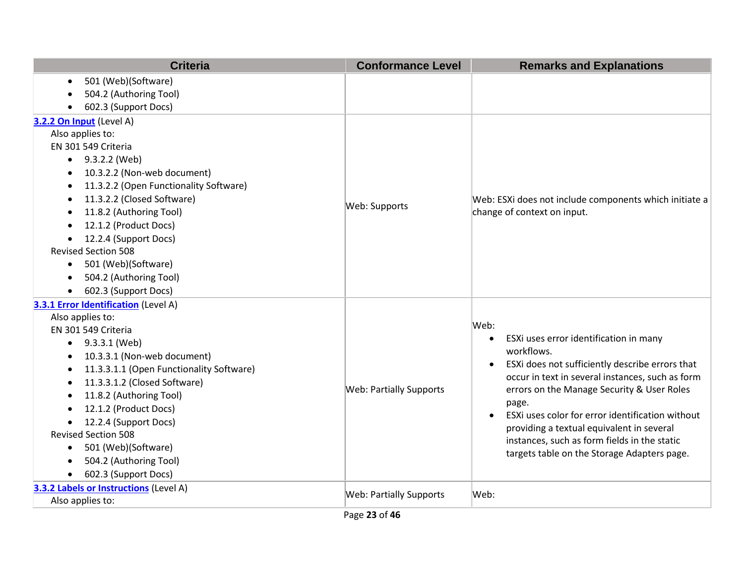| <b>Criteria</b>                                       | <b>Conformance Level</b>       | <b>Remarks and Explanations</b>                               |
|-------------------------------------------------------|--------------------------------|---------------------------------------------------------------|
| 501 (Web)(Software)<br>$\bullet$                      |                                |                                                               |
| 504.2 (Authoring Tool)                                |                                |                                                               |
| 602.3 (Support Docs)                                  |                                |                                                               |
| 3.2.2 On Input (Level A)                              |                                |                                                               |
| Also applies to:                                      |                                |                                                               |
| EN 301 549 Criteria                                   |                                |                                                               |
| 9.3.2.2 (Web)<br>$\bullet$                            |                                |                                                               |
| 10.3.2.2 (Non-web document)<br>$\bullet$              |                                |                                                               |
| 11.3.2.2 (Open Functionality Software)<br>$\bullet$   |                                |                                                               |
| 11.3.2.2 (Closed Software)<br>$\bullet$               | Web: Supports                  | Web: ESXi does not include components which initiate a        |
| 11.8.2 (Authoring Tool)<br>$\bullet$                  |                                | change of context on input.                                   |
| 12.1.2 (Product Docs)                                 |                                |                                                               |
| 12.2.4 (Support Docs)<br>$\bullet$                    |                                |                                                               |
| <b>Revised Section 508</b>                            |                                |                                                               |
| 501 (Web)(Software)<br>$\bullet$                      |                                |                                                               |
| 504.2 (Authoring Tool)<br>$\bullet$                   |                                |                                                               |
| 602.3 (Support Docs)<br>$\bullet$                     |                                |                                                               |
| 3.3.1 Error Identification (Level A)                  |                                | Web:                                                          |
| Also applies to:<br>EN 301 549 Criteria               |                                |                                                               |
| 9.3.3.1 (Web)                                         |                                | ESXi uses error identification in many<br>$\bullet$           |
| 10.3.3.1 (Non-web document)<br>$\bullet$              |                                | workflows.                                                    |
| 11.3.3.1.1 (Open Functionality Software)<br>$\bullet$ |                                | ESXi does not sufficiently describe errors that<br>$\bullet$  |
| 11.3.3.1.2 (Closed Software)<br>$\bullet$             |                                | occur in text in several instances, such as form              |
| 11.8.2 (Authoring Tool)<br>$\bullet$                  | <b>Web: Partially Supports</b> | errors on the Manage Security & User Roles                    |
| 12.1.2 (Product Docs)                                 |                                | page.                                                         |
| 12.2.4 (Support Docs)                                 |                                | ESXi uses color for error identification without<br>$\bullet$ |
| <b>Revised Section 508</b>                            |                                | providing a textual equivalent in several                     |
| 501 (Web)(Software)<br>$\bullet$                      |                                | instances, such as form fields in the static                  |
| 504.2 (Authoring Tool)<br>$\bullet$                   |                                | targets table on the Storage Adapters page.                   |
| 602.3 (Support Docs)<br>$\bullet$                     |                                |                                                               |
| 3.3.2 Labels or Instructions (Level A)                |                                |                                                               |
| Also applies to:                                      | <b>Web: Partially Supports</b> | Web:                                                          |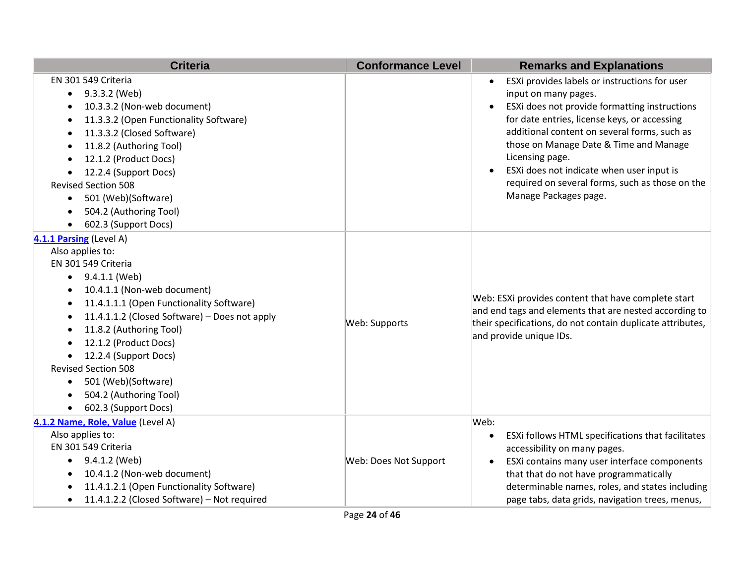| <b>Criteria</b>                                                                                                                                                                                                                                                                                                                                                                                                                            | <b>Conformance Level</b> | <b>Remarks and Explanations</b>                                                                                                                                                                                                                                                                                                                                                                                                                     |
|--------------------------------------------------------------------------------------------------------------------------------------------------------------------------------------------------------------------------------------------------------------------------------------------------------------------------------------------------------------------------------------------------------------------------------------------|--------------------------|-----------------------------------------------------------------------------------------------------------------------------------------------------------------------------------------------------------------------------------------------------------------------------------------------------------------------------------------------------------------------------------------------------------------------------------------------------|
| EN 301 549 Criteria<br>9.3.3.2 (Web)<br>$\bullet$<br>10.3.3.2 (Non-web document)<br>11.3.3.2 (Open Functionality Software)<br>11.3.3.2 (Closed Software)<br>11.8.2 (Authoring Tool)<br>12.1.2 (Product Docs)<br>12.2.4 (Support Docs)<br><b>Revised Section 508</b><br>501 (Web)(Software)<br>$\bullet$<br>504.2 (Authoring Tool)<br>$\bullet$<br>602.3 (Support Docs)                                                                     |                          | ESXi provides labels or instructions for user<br>$\bullet$<br>input on many pages.<br>ESXi does not provide formatting instructions<br>$\bullet$<br>for date entries, license keys, or accessing<br>additional content on several forms, such as<br>those on Manage Date & Time and Manage<br>Licensing page.<br>ESXi does not indicate when user input is<br>$\bullet$<br>required on several forms, such as those on the<br>Manage Packages page. |
| 4.1.1 Parsing (Level A)<br>Also applies to:<br>EN 301 549 Criteria<br>9.4.1.1 (Web)<br>$\bullet$<br>10.4.1.1 (Non-web document)<br>11.4.1.1.1 (Open Functionality Software)<br>11.4.1.1.2 (Closed Software) - Does not apply<br>11.8.2 (Authoring Tool)<br>12.1.2 (Product Docs)<br>12.2.4 (Support Docs)<br>$\bullet$<br><b>Revised Section 508</b><br>501 (Web)(Software)<br>$\bullet$<br>504.2 (Authoring Tool)<br>602.3 (Support Docs) | Web: Supports            | Web: ESXi provides content that have complete start<br>and end tags and elements that are nested according to<br>their specifications, do not contain duplicate attributes,<br>and provide unique IDs.                                                                                                                                                                                                                                              |
| 4.1.2 Name, Role, Value (Level A)<br>Also applies to:<br>EN 301 549 Criteria<br>9.4.1.2 (Web)<br>$\bullet$<br>10.4.1.2 (Non-web document)<br>11.4.1.2.1 (Open Functionality Software)<br>11.4.1.2.2 (Closed Software) - Not required<br>$\bullet$                                                                                                                                                                                          | Web: Does Not Support    | Web:<br>ESXi follows HTML specifications that facilitates<br>$\bullet$<br>accessibility on many pages.<br>ESXi contains many user interface components<br>$\bullet$<br>that that do not have programmatically<br>determinable names, roles, and states including<br>page tabs, data grids, navigation trees, menus,                                                                                                                                 |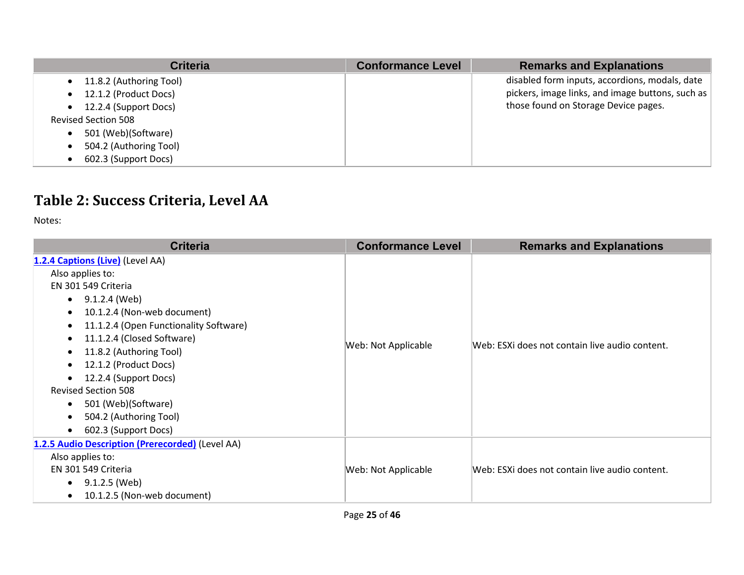| <b>Criteria</b>                      | <b>Conformance Level</b> | <b>Remarks and Explanations</b>                  |
|--------------------------------------|--------------------------|--------------------------------------------------|
| 11.8.2 (Authoring Tool)<br>$\bullet$ |                          | disabled form inputs, accordions, modals, date   |
| 12.1.2 (Product Docs)                |                          | pickers, image links, and image buttons, such as |
| 12.2.4 (Support Docs)<br>$\bullet$   |                          | those found on Storage Device pages.             |
| <b>Revised Section 508</b>           |                          |                                                  |
| 501 (Web)(Software)                  |                          |                                                  |
| 504.2 (Authoring Tool)               |                          |                                                  |
| 602.3 (Support Docs)                 |                          |                                                  |

## **Table 2: Success Criteria, Level AA**

Notes:

| <b>Criteria</b>                                                                                                                                                                                                                                                                                                                                                                                      | <b>Conformance Level</b> | <b>Remarks and Explanations</b>                |
|------------------------------------------------------------------------------------------------------------------------------------------------------------------------------------------------------------------------------------------------------------------------------------------------------------------------------------------------------------------------------------------------------|--------------------------|------------------------------------------------|
| 1.2.4 Captions (Live) (Level AA)<br>Also applies to:<br>EN 301 549 Criteria<br>9.1.2.4 (Web)<br>$\bullet$<br>10.1.2.4 (Non-web document)<br>11.1.2.4 (Open Functionality Software)<br>11.1.2.4 (Closed Software)<br>11.8.2 (Authoring Tool)<br>12.1.2 (Product Docs)<br>12.2.4 (Support Docs)<br><b>Revised Section 508</b><br>501 (Web)(Software)<br>504.2 (Authoring Tool)<br>602.3 (Support Docs) | Web: Not Applicable      | Web: ESXi does not contain live audio content. |
| 1.2.5 Audio Description (Prerecorded) (Level AA)<br>Also applies to:<br>EN 301 549 Criteria<br>9.1.2.5 (Web)<br>$\bullet$<br>10.1.2.5 (Non-web document)                                                                                                                                                                                                                                             | Web: Not Applicable      | Web: ESXI does not contain live audio content. |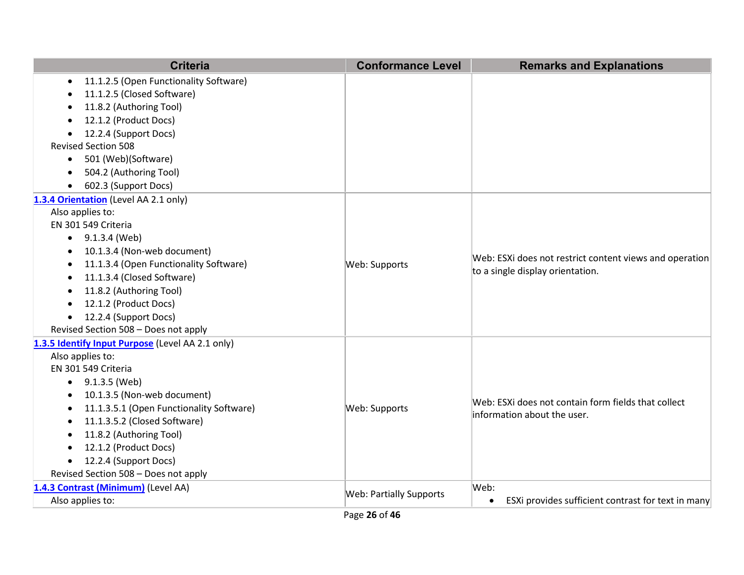| <b>Criteria</b>                                       | <b>Conformance Level</b>       | <b>Remarks and Explanations</b>                                                             |
|-------------------------------------------------------|--------------------------------|---------------------------------------------------------------------------------------------|
| 11.1.2.5 (Open Functionality Software)<br>$\bullet$   |                                |                                                                                             |
| 11.1.2.5 (Closed Software)                            |                                |                                                                                             |
| 11.8.2 (Authoring Tool)                               |                                |                                                                                             |
| 12.1.2 (Product Docs)                                 |                                |                                                                                             |
| 12.2.4 (Support Docs)                                 |                                |                                                                                             |
| <b>Revised Section 508</b>                            |                                |                                                                                             |
| 501 (Web)(Software)<br>$\bullet$                      |                                |                                                                                             |
| 504.2 (Authoring Tool)                                |                                |                                                                                             |
| 602.3 (Support Docs)<br>$\bullet$                     |                                |                                                                                             |
| 1.3.4 Orientation (Level AA 2.1 only)                 |                                |                                                                                             |
| Also applies to:                                      |                                |                                                                                             |
| EN 301 549 Criteria                                   |                                |                                                                                             |
| $\bullet$ 9.1.3.4 (Web)                               |                                | Web: ESXi does not restrict content views and operation<br>to a single display orientation. |
| 10.1.3.4 (Non-web document)                           |                                |                                                                                             |
| 11.1.3.4 (Open Functionality Software)                | Web: Supports                  |                                                                                             |
| 11.1.3.4 (Closed Software)                            |                                |                                                                                             |
| 11.8.2 (Authoring Tool)                               |                                |                                                                                             |
| 12.1.2 (Product Docs)<br>$\bullet$                    |                                |                                                                                             |
| 12.2.4 (Support Docs)<br>$\bullet$                    |                                |                                                                                             |
| Revised Section 508 - Does not apply                  |                                |                                                                                             |
| 1.3.5 Identify Input Purpose (Level AA 2.1 only)      |                                |                                                                                             |
| Also applies to:                                      |                                |                                                                                             |
| EN 301 549 Criteria                                   |                                |                                                                                             |
| $\bullet$ 9.1.3.5 (Web)                               |                                |                                                                                             |
| 10.1.3.5 (Non-web document)<br>$\bullet$              |                                | Web: ESXi does not contain form fields that collect                                         |
| 11.1.3.5.1 (Open Functionality Software)<br>$\bullet$ | Web: Supports                  | information about the user.                                                                 |
| 11.1.3.5.2 (Closed Software)                          |                                |                                                                                             |
| 11.8.2 (Authoring Tool)                               |                                |                                                                                             |
| 12.1.2 (Product Docs)<br>$\bullet$                    |                                |                                                                                             |
| 12.2.4 (Support Docs)<br>$\bullet$                    |                                |                                                                                             |
| Revised Section 508 - Does not apply                  |                                |                                                                                             |
| 1.4.3 Contrast (Minimum) (Level AA)                   | <b>Web: Partially Supports</b> | Web:                                                                                        |
| Also applies to:                                      |                                | ESXi provides sufficient contrast for text in many<br>$\bullet$                             |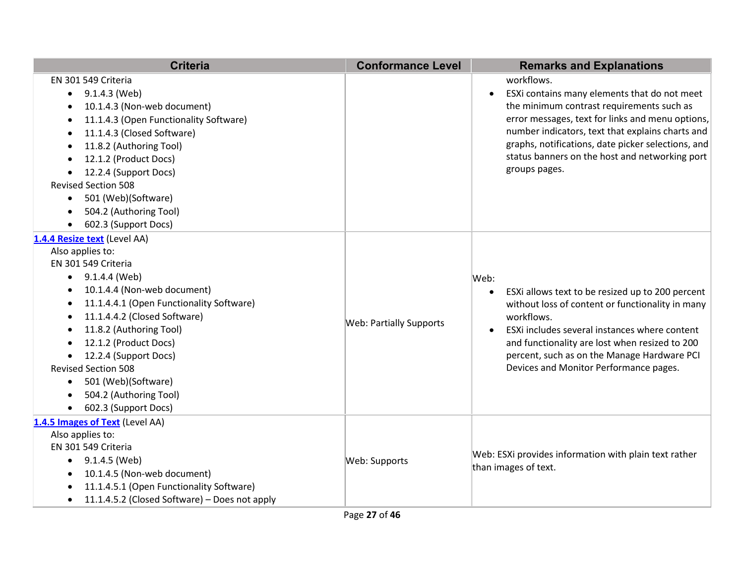| <b>Criteria</b>                                                                                                                                                                                                                                                                                                                                                                                                   | <b>Conformance Level</b>       | <b>Remarks and Explanations</b>                                                                                                                                                                                                                                                                                                                       |
|-------------------------------------------------------------------------------------------------------------------------------------------------------------------------------------------------------------------------------------------------------------------------------------------------------------------------------------------------------------------------------------------------------------------|--------------------------------|-------------------------------------------------------------------------------------------------------------------------------------------------------------------------------------------------------------------------------------------------------------------------------------------------------------------------------------------------------|
| EN 301 549 Criteria<br>9.1.4.3 (Web)<br>$\bullet$<br>10.1.4.3 (Non-web document)<br>11.1.4.3 (Open Functionality Software)<br>11.1.4.3 (Closed Software)<br>11.8.2 (Authoring Tool)<br>12.1.2 (Product Docs)<br>12.2.4 (Support Docs)<br><b>Revised Section 508</b><br>501 (Web)(Software)<br>$\bullet$<br>504.2 (Authoring Tool)<br>602.3 (Support Docs)                                                         |                                | workflows.<br>ESXi contains many elements that do not meet<br>$\bullet$<br>the minimum contrast requirements such as<br>error messages, text for links and menu options,<br>number indicators, text that explains charts and<br>graphs, notifications, date picker selections, and<br>status banners on the host and networking port<br>groups pages. |
| 1.4.4 Resize text (Level AA)<br>Also applies to:<br>EN 301 549 Criteria<br>9.1.4.4 (Web)<br>$\bullet$<br>10.1.4.4 (Non-web document)<br>11.1.4.4.1 (Open Functionality Software)<br>11.1.4.4.2 (Closed Software)<br>11.8.2 (Authoring Tool)<br>12.1.2 (Product Docs)<br>12.2.4 (Support Docs)<br>$\bullet$<br><b>Revised Section 508</b><br>501 (Web)(Software)<br>504.2 (Authoring Tool)<br>602.3 (Support Docs) | <b>Web: Partially Supports</b> | Web:<br>ESXi allows text to be resized up to 200 percent<br>$\bullet$<br>without loss of content or functionality in many<br>workflows.<br>ESXi includes several instances where content<br>$\bullet$<br>and functionality are lost when resized to 200<br>percent, such as on the Manage Hardware PCI<br>Devices and Monitor Performance pages.      |
| 1.4.5 Images of Text (Level AA)<br>Also applies to:<br>EN 301 549 Criteria<br>9.1.4.5 (Web)<br>10.1.4.5 (Non-web document)<br>11.1.4.5.1 (Open Functionality Software)<br>11.1.4.5.2 (Closed Software) - Does not apply<br>$\bullet$                                                                                                                                                                              | Web: Supports                  | Web: ESXi provides information with plain text rather<br>than images of text.                                                                                                                                                                                                                                                                         |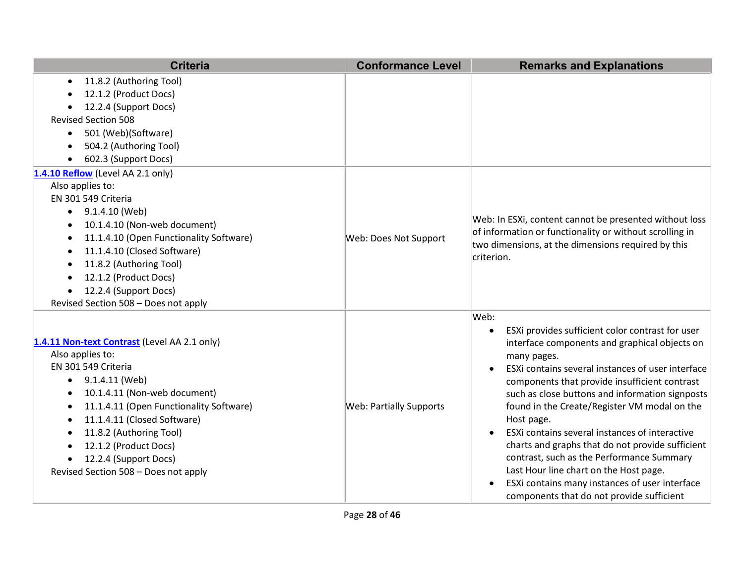| <b>Criteria</b>                                      | <b>Conformance Level</b>       | <b>Remarks and Explanations</b>                                                     |
|------------------------------------------------------|--------------------------------|-------------------------------------------------------------------------------------|
| 11.8.2 (Authoring Tool)<br>$\bullet$                 |                                |                                                                                     |
| 12.1.2 (Product Docs)                                |                                |                                                                                     |
| 12.2.4 (Support Docs)<br><b>Revised Section 508</b>  |                                |                                                                                     |
| 501 (Web)(Software)                                  |                                |                                                                                     |
| $\bullet$<br>504.2 (Authoring Tool)                  |                                |                                                                                     |
| $\bullet$<br>602.3 (Support Docs)<br>$\bullet$       |                                |                                                                                     |
| 1.4.10 Reflow (Level AA 2.1 only)                    |                                |                                                                                     |
| Also applies to:                                     |                                |                                                                                     |
| EN 301 549 Criteria                                  |                                |                                                                                     |
| 9.1.4.10 (Web)<br>$\bullet$                          |                                |                                                                                     |
| 10.1.4.10 (Non-web document)<br>$\bullet$            |                                | Web: In ESXi, content cannot be presented without loss                              |
| 11.1.4.10 (Open Functionality Software)<br>$\bullet$ | Web: Does Not Support          | of information or functionality or without scrolling in                             |
| 11.1.4.10 (Closed Software)<br>$\bullet$             |                                | two dimensions, at the dimensions required by this                                  |
| 11.8.2 (Authoring Tool)                              |                                | criterion.                                                                          |
| 12.1.2 (Product Docs)<br>$\bullet$                   |                                |                                                                                     |
| 12.2.4 (Support Docs)<br>$\bullet$                   |                                |                                                                                     |
| Revised Section 508 - Does not apply                 |                                |                                                                                     |
|                                                      |                                | Web:                                                                                |
|                                                      |                                | ESXi provides sufficient color contrast for user                                    |
| 1.4.11 Non-text Contrast (Level AA 2.1 only)         |                                | interface components and graphical objects on                                       |
| Also applies to:                                     |                                | many pages.                                                                         |
| EN 301 549 Criteria                                  |                                | ESXi contains several instances of user interface                                   |
| 9.1.4.11 (Web)<br>٠                                  |                                | components that provide insufficient contrast                                       |
| 10.1.4.11 (Non-web document)<br>$\bullet$            |                                | such as close buttons and information signposts                                     |
| 11.1.4.11 (Open Functionality Software)<br>$\bullet$ | <b>Web: Partially Supports</b> | found in the Create/Register VM modal on the                                        |
| 11.1.4.11 (Closed Software)                          |                                | Host page.                                                                          |
| 11.8.2 (Authoring Tool)<br>$\bullet$                 |                                | ESXI contains several instances of interactive                                      |
| 12.1.2 (Product Docs)                                |                                | charts and graphs that do not provide sufficient                                    |
| 12.2.4 (Support Docs)<br>$\bullet$                   |                                | contrast, such as the Performance Summary<br>Last Hour line chart on the Host page. |
| Revised Section 508 - Does not apply                 |                                | ESXi contains many instances of user interface                                      |
|                                                      |                                | components that do not provide sufficient                                           |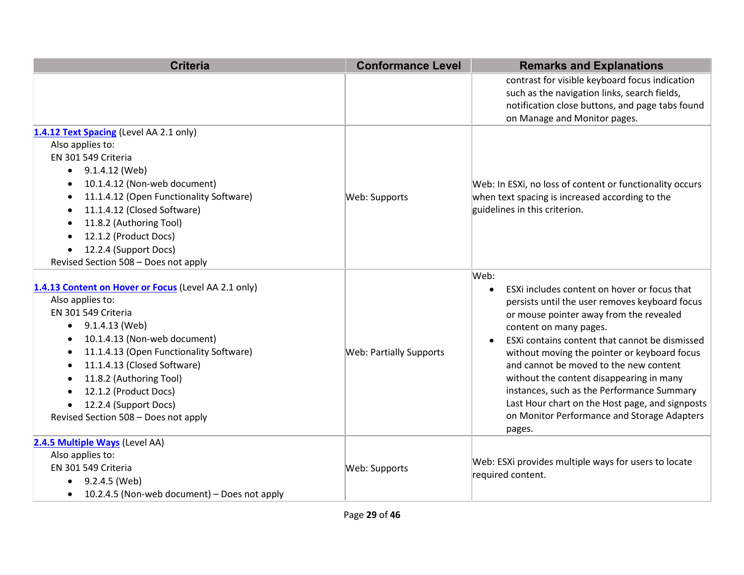| <b>Criteria</b>                                             | <b>Conformance Level</b>       | <b>Remarks and Explanations</b>                                                                |
|-------------------------------------------------------------|--------------------------------|------------------------------------------------------------------------------------------------|
|                                                             |                                | contrast for visible keyboard focus indication                                                 |
|                                                             |                                | such as the navigation links, search fields,                                                   |
|                                                             |                                | notification close buttons, and page tabs found                                                |
|                                                             |                                | on Manage and Monitor pages.                                                                   |
| 1.4.12 Text Spacing (Level AA 2.1 only)<br>Also applies to: |                                |                                                                                                |
| EN 301 549 Criteria                                         |                                |                                                                                                |
| $\bullet$ 9.1.4.12 (Web)                                    |                                |                                                                                                |
| 10.1.4.12 (Non-web document)<br>$\bullet$                   |                                | Web: In ESXi, no loss of content or functionality occurs                                       |
| 11.1.4.12 (Open Functionality Software)                     | Web: Supports                  | when text spacing is increased according to the                                                |
| 11.1.4.12 (Closed Software)                                 |                                | guidelines in this criterion.                                                                  |
| 11.8.2 (Authoring Tool)                                     |                                |                                                                                                |
| 12.1.2 (Product Docs)                                       |                                |                                                                                                |
| 12.2.4 (Support Docs)<br>$\bullet$                          |                                |                                                                                                |
| Revised Section 508 - Does not apply                        |                                |                                                                                                |
|                                                             |                                | Web:                                                                                           |
| 1.4.13 Content on Hover or Focus (Level AA 2.1 only)        |                                | ESXi includes content on hover or focus that<br>$\bullet$                                      |
| Also applies to:                                            |                                | persists until the user removes keyboard focus                                                 |
| EN 301 549 Criteria                                         |                                | or mouse pointer away from the revealed                                                        |
| $\bullet$ 9.1.4.13 (Web)                                    |                                | content on many pages.                                                                         |
| 10.1.4.13 (Non-web document)<br>$\bullet$                   |                                | ESXi contains content that cannot be dismissed                                                 |
| 11.1.4.13 (Open Functionality Software)                     | <b>Web: Partially Supports</b> | without moving the pointer or keyboard focus                                                   |
| 11.1.4.13 (Closed Software)                                 |                                | and cannot be moved to the new content                                                         |
| 11.8.2 (Authoring Tool)                                     |                                | without the content disappearing in many                                                       |
| 12.1.2 (Product Docs)                                       |                                | instances, such as the Performance Summary                                                     |
| 12.2.4 (Support Docs)<br>$\bullet$                          |                                | Last Hour chart on the Host page, and signposts<br>on Monitor Performance and Storage Adapters |
| Revised Section 508 - Does not apply                        |                                | pages.                                                                                         |
| 2.4.5 Multiple Ways (Level AA)                              |                                |                                                                                                |
| Also applies to:                                            | Web: Supports                  | Web: ESXi provides multiple ways for users to locate                                           |
| EN 301 549 Criteria                                         |                                | required content.                                                                              |
| 9.2.4.5 (Web)<br>$\bullet$                                  |                                |                                                                                                |
| 10.2.4.5 (Non-web document) - Does not apply<br>$\bullet$   |                                |                                                                                                |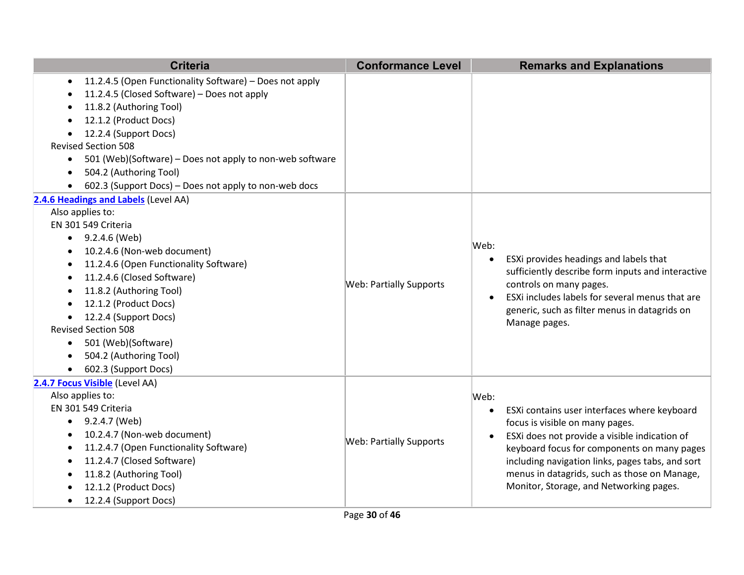| <b>Criteria</b>                                                                                                                                                                                                                                                                                                                                                                                               | <b>Conformance Level</b>       | <b>Remarks and Explanations</b>                                                                                                                                                                                                                                                                                                                                  |
|---------------------------------------------------------------------------------------------------------------------------------------------------------------------------------------------------------------------------------------------------------------------------------------------------------------------------------------------------------------------------------------------------------------|--------------------------------|------------------------------------------------------------------------------------------------------------------------------------------------------------------------------------------------------------------------------------------------------------------------------------------------------------------------------------------------------------------|
| 11.2.4.5 (Open Functionality Software) - Does not apply<br>11.2.4.5 (Closed Software) - Does not apply<br>11.8.2 (Authoring Tool)<br>12.1.2 (Product Docs)<br>12.2.4 (Support Docs)<br><b>Revised Section 508</b><br>501 (Web)(Software) - Does not apply to non-web software<br>$\bullet$<br>504.2 (Authoring Tool)<br>602.3 (Support Docs) - Does not apply to non-web docs                                 |                                |                                                                                                                                                                                                                                                                                                                                                                  |
| 2.4.6 Headings and Labels (Level AA)<br>Also applies to:<br>EN 301 549 Criteria<br>9.2.4.6 (Web)<br>10.2.4.6 (Non-web document)<br>11.2.4.6 (Open Functionality Software)<br>٠<br>11.2.4.6 (Closed Software)<br>11.8.2 (Authoring Tool)<br>12.1.2 (Product Docs)<br>12.2.4 (Support Docs)<br><b>Revised Section 508</b><br>501 (Web)(Software)<br>$\bullet$<br>504.2 (Authoring Tool)<br>602.3 (Support Docs) | <b>Web: Partially Supports</b> | Web:<br>ESXi provides headings and labels that<br>$\bullet$<br>sufficiently describe form inputs and interactive<br>controls on many pages.<br>ESXi includes labels for several menus that are<br>$\bullet$<br>generic, such as filter menus in datagrids on<br>Manage pages.                                                                                    |
| 2.4.7 Focus Visible (Level AA)<br>Also applies to:<br>EN 301 549 Criteria<br>9.2.4.7 (Web)<br>$\bullet$<br>10.2.4.7 (Non-web document)<br>11.2.4.7 (Open Functionality Software)<br>11.2.4.7 (Closed Software)<br>11.8.2 (Authoring Tool)<br>12.1.2 (Product Docs)<br>12.2.4 (Support Docs)<br>$\bullet$                                                                                                      | <b>Web: Partially Supports</b> | Web:<br>ESXi contains user interfaces where keyboard<br>$\bullet$<br>focus is visible on many pages.<br>ESXi does not provide a visible indication of<br>$\bullet$<br>keyboard focus for components on many pages<br>including navigation links, pages tabs, and sort<br>menus in datagrids, such as those on Manage,<br>Monitor, Storage, and Networking pages. |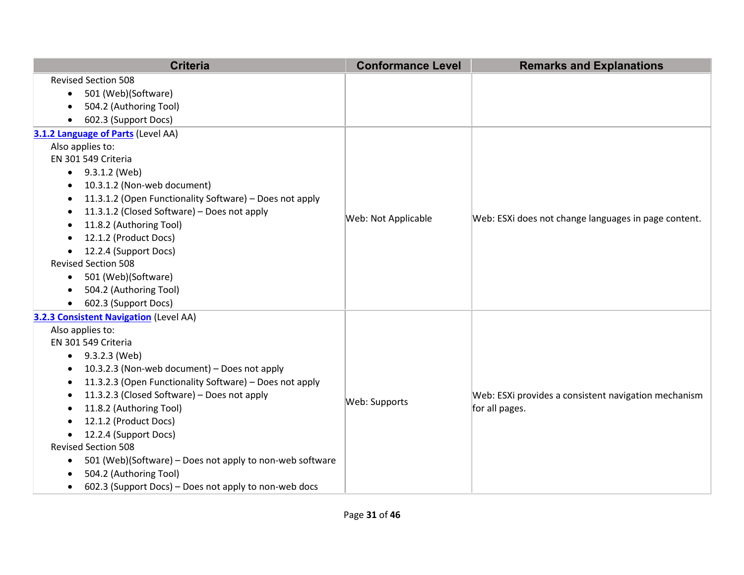| <b>Criteria</b>                                                       | <b>Conformance Level</b> | <b>Remarks and Explanations</b>                      |
|-----------------------------------------------------------------------|--------------------------|------------------------------------------------------|
| <b>Revised Section 508</b>                                            |                          |                                                      |
| 501 (Web)(Software)<br>$\bullet$                                      |                          |                                                      |
| 504.2 (Authoring Tool)<br>$\bullet$                                   |                          |                                                      |
| 602.3 (Support Docs)<br>$\bullet$                                     |                          |                                                      |
| 3.1.2 Language of Parts (Level AA)                                    |                          |                                                      |
| Also applies to:                                                      |                          |                                                      |
| EN 301 549 Criteria                                                   |                          |                                                      |
| 9.3.1.2 (Web)<br>$\bullet$                                            |                          |                                                      |
| 10.3.1.2 (Non-web document)<br>$\bullet$                              |                          |                                                      |
| 11.3.1.2 (Open Functionality Software) - Does not apply<br>$\bullet$  |                          |                                                      |
| 11.3.1.2 (Closed Software) - Does not apply<br>$\bullet$              | Web: Not Applicable      | Web: ESXi does not change languages in page content. |
| 11.8.2 (Authoring Tool)<br>٠                                          |                          |                                                      |
| 12.1.2 (Product Docs)<br>$\bullet$                                    |                          |                                                      |
| 12.2.4 (Support Docs)<br>$\bullet$                                    |                          |                                                      |
| <b>Revised Section 508</b>                                            |                          |                                                      |
| 501 (Web)(Software)<br>$\bullet$                                      |                          |                                                      |
| 504.2 (Authoring Tool)<br>$\bullet$                                   |                          |                                                      |
| 602.3 (Support Docs)<br>$\bullet$                                     |                          |                                                      |
| 3.2.3 Consistent Navigation (Level AA)                                |                          |                                                      |
| Also applies to:                                                      |                          |                                                      |
| EN 301 549 Criteria                                                   |                          |                                                      |
| 9.3.2.3 (Web)<br>$\bullet$                                            |                          |                                                      |
| 10.3.2.3 (Non-web document) - Does not apply<br>$\bullet$             |                          |                                                      |
| 11.3.2.3 (Open Functionality Software) - Does not apply<br>$\bullet$  |                          |                                                      |
| 11.3.2.3 (Closed Software) - Does not apply<br>$\bullet$              | Web: Supports            | Web: ESXi provides a consistent navigation mechanism |
| 11.8.2 (Authoring Tool)<br>$\bullet$                                  |                          | for all pages.                                       |
| 12.1.2 (Product Docs)<br>$\bullet$                                    |                          |                                                      |
| 12.2.4 (Support Docs)<br>$\bullet$<br><b>Revised Section 508</b>      |                          |                                                      |
| 501 (Web)(Software) - Does not apply to non-web software<br>$\bullet$ |                          |                                                      |
| 504.2 (Authoring Tool)<br>$\bullet$                                   |                          |                                                      |
| 602.3 (Support Docs) – Does not apply to non-web docs<br>$\bullet$    |                          |                                                      |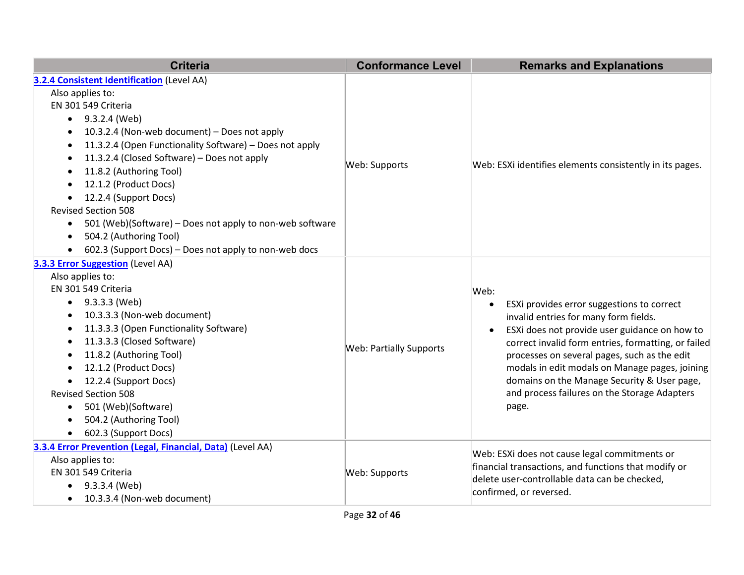| <b>Criteria</b>                                                       | <b>Conformance Level</b>       | <b>Remarks and Explanations</b>                                                                                                                                                                                                                                               |
|-----------------------------------------------------------------------|--------------------------------|-------------------------------------------------------------------------------------------------------------------------------------------------------------------------------------------------------------------------------------------------------------------------------|
| 3.2.4 Consistent Identification (Level AA)                            |                                |                                                                                                                                                                                                                                                                               |
| Also applies to:                                                      |                                |                                                                                                                                                                                                                                                                               |
| EN 301 549 Criteria                                                   |                                |                                                                                                                                                                                                                                                                               |
| 9.3.2.4 (Web)<br>$\bullet$                                            |                                |                                                                                                                                                                                                                                                                               |
| 10.3.2.4 (Non-web document) - Does not apply<br>$\bullet$             |                                |                                                                                                                                                                                                                                                                               |
| 11.3.2.4 (Open Functionality Software) - Does not apply<br>$\bullet$  |                                |                                                                                                                                                                                                                                                                               |
| 11.3.2.4 (Closed Software) - Does not apply<br>$\bullet$              | Web: Supports                  |                                                                                                                                                                                                                                                                               |
| 11.8.2 (Authoring Tool)<br>$\bullet$                                  |                                | Web: ESXi identifies elements consistently in its pages.                                                                                                                                                                                                                      |
| 12.1.2 (Product Docs)<br>$\bullet$                                    |                                |                                                                                                                                                                                                                                                                               |
| 12.2.4 (Support Docs)<br>$\bullet$                                    |                                |                                                                                                                                                                                                                                                                               |
| <b>Revised Section 508</b>                                            |                                |                                                                                                                                                                                                                                                                               |
| 501 (Web)(Software) – Does not apply to non-web software<br>$\bullet$ |                                |                                                                                                                                                                                                                                                                               |
| 504.2 (Authoring Tool)<br>$\bullet$                                   |                                |                                                                                                                                                                                                                                                                               |
| 602.3 (Support Docs) - Does not apply to non-web docs<br>$\bullet$    |                                |                                                                                                                                                                                                                                                                               |
| 3.3.3 Error Suggestion (Level AA)                                     |                                |                                                                                                                                                                                                                                                                               |
| Also applies to:                                                      |                                |                                                                                                                                                                                                                                                                               |
| EN 301 549 Criteria                                                   |                                | Web:<br>ESXi provides error suggestions to correct<br>$\bullet$<br>invalid entries for many form fields.<br>ESXi does not provide user guidance on how to<br>$\bullet$<br>correct invalid form entries, formatting, or failed<br>processes on several pages, such as the edit |
| $\bullet$ 9.3.3.3 (Web)                                               |                                |                                                                                                                                                                                                                                                                               |
| 10.3.3.3 (Non-web document)<br>$\bullet$                              |                                |                                                                                                                                                                                                                                                                               |
| 11.3.3.3 (Open Functionality Software)<br>$\bullet$                   |                                |                                                                                                                                                                                                                                                                               |
| 11.3.3.3 (Closed Software)<br>$\bullet$                               | <b>Web: Partially Supports</b> |                                                                                                                                                                                                                                                                               |
| 11.8.2 (Authoring Tool)<br>$\bullet$                                  |                                |                                                                                                                                                                                                                                                                               |
| 12.1.2 (Product Docs)<br>$\bullet$                                    |                                | modals in edit modals on Manage pages, joining                                                                                                                                                                                                                                |
| 12.2.4 (Support Docs)<br>$\bullet$                                    |                                | domains on the Manage Security & User page,                                                                                                                                                                                                                                   |
| <b>Revised Section 508</b>                                            |                                | and process failures on the Storage Adapters                                                                                                                                                                                                                                  |
| 501 (Web)(Software)<br>$\bullet$                                      |                                | page.                                                                                                                                                                                                                                                                         |
| 504.2 (Authoring Tool)<br>$\bullet$                                   |                                |                                                                                                                                                                                                                                                                               |
| 602.3 (Support Docs)<br>$\bullet$                                     |                                |                                                                                                                                                                                                                                                                               |
| 3.3.4 Error Prevention (Legal, Financial, Data) (Level AA)            |                                | Web: ESXi does not cause legal commitments or                                                                                                                                                                                                                                 |
| Also applies to:                                                      |                                | financial transactions, and functions that modify or                                                                                                                                                                                                                          |
| EN 301 549 Criteria                                                   | Web: Supports                  | delete user-controllable data can be checked,                                                                                                                                                                                                                                 |
| 9.3.3.4 (Web)<br>$\bullet$                                            |                                | confirmed, or reversed.                                                                                                                                                                                                                                                       |
| 10.3.3.4 (Non-web document)<br>$\bullet$                              |                                |                                                                                                                                                                                                                                                                               |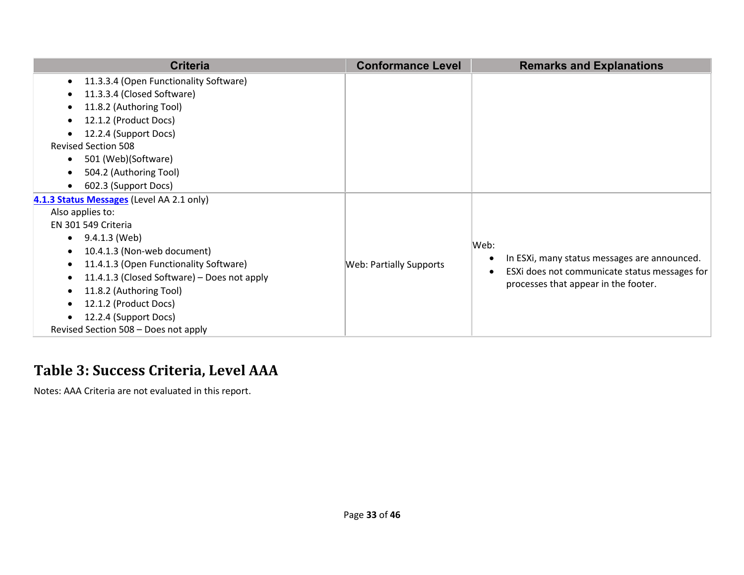| <b>Criteria</b>                                          | <b>Conformance Level</b>       | <b>Remarks and Explanations</b>               |
|----------------------------------------------------------|--------------------------------|-----------------------------------------------|
| 11.3.3.4 (Open Functionality Software)<br>$\bullet$      |                                |                                               |
| 11.3.3.4 (Closed Software)                               |                                |                                               |
| 11.8.2 (Authoring Tool)                                  |                                |                                               |
| 12.1.2 (Product Docs)                                    |                                |                                               |
| 12.2.4 (Support Docs)                                    |                                |                                               |
| <b>Revised Section 508</b>                               |                                |                                               |
| 501 (Web)(Software)<br>$\bullet$                         |                                |                                               |
| 504.2 (Authoring Tool)<br>$\bullet$                      |                                |                                               |
| 602.3 (Support Docs)<br>$\bullet$                        |                                |                                               |
| 4.1.3 Status Messages (Level AA 2.1 only)                |                                |                                               |
| Also applies to:                                         |                                |                                               |
| EN 301 549 Criteria                                      |                                |                                               |
| 9.4.1.3 (Web)<br>$\bullet$                               |                                | Web:                                          |
| 10.4.1.3 (Non-web document)<br>$\bullet$                 |                                | In ESXi, many status messages are announced.  |
| 11.4.1.3 (Open Functionality Software)<br>$\bullet$      | <b>Web: Partially Supports</b> | ESXi does not communicate status messages for |
| 11.4.1.3 (Closed Software) – Does not apply<br>$\bullet$ |                                | processes that appear in the footer.          |
| 11.8.2 (Authoring Tool)<br>$\bullet$                     |                                |                                               |
| 12.1.2 (Product Docs)                                    |                                |                                               |
| 12.2.4 (Support Docs)                                    |                                |                                               |
| Revised Section 508 - Does not apply                     |                                |                                               |

#### **Table 3: Success Criteria, Level AAA**

Notes: AAA Criteria are not evaluated in this report.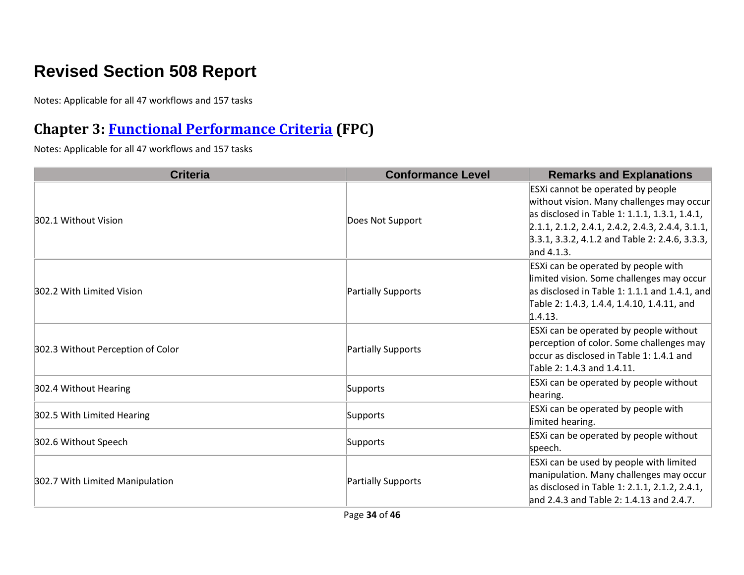## **Revised Section 508 Report**

Notes: Applicable for all 47 workflows and 157 tasks

#### **Chapter 3: [Functional Performance Criteria](https://www.access-board.gov/guidelines-and-standards/communications-and-it/about-the-ict-refresh/final-rule/text-of-the-standards-and-guidelines#302-functional-performance-criteria) (FPC)**

Notes: Applicable for all 47 workflows and 157 tasks

| <b>Criteria</b>                   | <b>Conformance Level</b> | <b>Remarks and Explanations</b>                                                                                                                                                                                                                          |
|-----------------------------------|--------------------------|----------------------------------------------------------------------------------------------------------------------------------------------------------------------------------------------------------------------------------------------------------|
| 302.1 Without Vision              | Does Not Support         | ESXi cannot be operated by people<br>without vision. Many challenges may occur<br>as disclosed in Table 1: 1.1.1, 1.3.1, 1.4.1,<br>$2.1.1, 2.1.2, 2.4.1, 2.4.2, 2.4.3, 2.4.4, 3.1.1,$<br>3.3.1, 3.3.2, 4.1.2 and Table 2: 2.4.6, 3.3.3,<br>and $4.1.3$ . |
| 302.2 With Limited Vision         | Partially Supports       | ESXi can be operated by people with<br>limited vision. Some challenges may occur<br>as disclosed in Table 1: 1.1.1 and 1.4.1, and<br>Table 2: 1.4.3, 1.4.4, 1.4.10, 1.4.11, and<br>1.4.13.                                                               |
| 302.3 Without Perception of Color | Partially Supports       | ESXi can be operated by people without<br>perception of color. Some challenges may<br>bccur as disclosed in Table 1: 1.4.1 and<br>Table 2: 1.4.3 and 1.4.11.                                                                                             |
| 302.4 Without Hearing             | Supports                 | ESXi can be operated by people without<br>hearing.                                                                                                                                                                                                       |
| 302.5 With Limited Hearing        | Supports                 | ESXi can be operated by people with<br>limited hearing.                                                                                                                                                                                                  |
| 302.6 Without Speech              | Supports                 | ESXi can be operated by people without<br>speech.                                                                                                                                                                                                        |
| 302.7 With Limited Manipulation   | Partially Supports       | ESXi can be used by people with limited<br>manipulation. Many challenges may occur<br>as disclosed in Table 1: 2.1.1, 2.1.2, 2.4.1,<br>and 2.4.3 and Table 2: 1.4.13 and 2.4.7.                                                                          |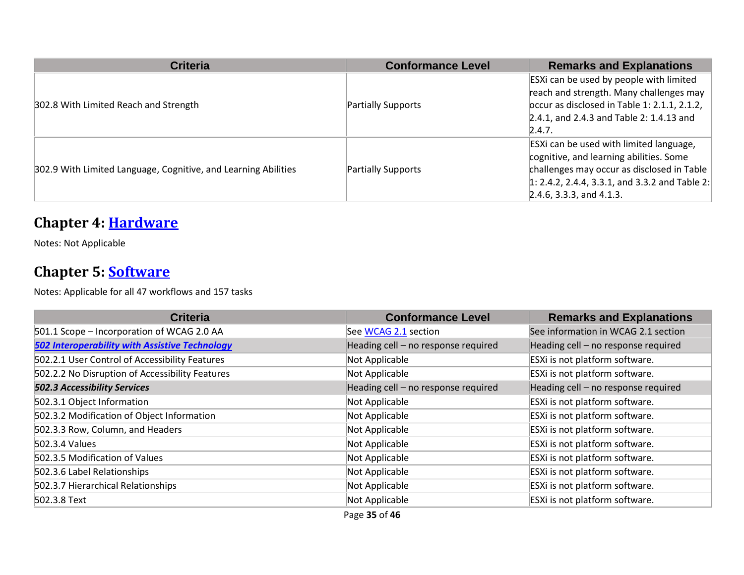| <b>Criteria</b>                                                | <b>Conformance Level</b> | <b>Remarks and Explanations</b>                |
|----------------------------------------------------------------|--------------------------|------------------------------------------------|
|                                                                |                          | ESXi can be used by people with limited        |
|                                                                |                          | reach and strength. Many challenges may        |
| 302.8 With Limited Reach and Strength                          | Partially Supports       | bccur as disclosed in Table 1: 2.1.1, 2.1.2,   |
|                                                                |                          | 2.4.1, and 2.4.3 and Table 2: 1.4.13 and       |
|                                                                |                          | 2.4.7.                                         |
| 302.9 With Limited Language, Cognitive, and Learning Abilities |                          | ESXI can be used with limited language,        |
|                                                                |                          | cognitive, and learning abilities. Some        |
|                                                                | Partially Supports       | challenges may occur as disclosed in Table     |
|                                                                |                          | 1: 2.4.2, 2.4.4, 3.3.1, and 3.3.2 and Table 2: |
|                                                                |                          | $[2.4.6, 3.3.3,$ and 4.1.3.                    |

#### **Chapter 4: [Hardware](https://www.access-board.gov/guidelines-and-standards/communications-and-it/about-the-ict-refresh/final-rule/text-of-the-standards-and-guidelines#401-general)**

Notes: Not Applicable

#### **Chapter 5: [Software](https://www.access-board.gov/guidelines-and-standards/communications-and-it/about-the-ict-refresh/final-rule/text-of-the-standards-and-guidelines#501-general)**

Notes: Applicable for all 47 workflows and 157 tasks

| <b>Criteria</b>                                       | <b>Conformance Level</b>            | <b>Remarks and Explanations</b>     |
|-------------------------------------------------------|-------------------------------------|-------------------------------------|
| 501.1 Scope - Incorporation of WCAG 2.0 AA            | See WCAG 2.1 section                | See information in WCAG 2.1 section |
| <b>502 Interoperability with Assistive Technology</b> | Heading cell - no response required | Heading cell - no response required |
| 502.2.1 User Control of Accessibility Features        | Not Applicable                      | ESXi is not platform software.      |
| 502.2.2 No Disruption of Accessibility Features       | Not Applicable                      | ESXi is not platform software.      |
| <b>502.3 Accessibility Services</b>                   | Heading cell - no response required | Heading cell - no response required |
| 502.3.1 Object Information                            | Not Applicable                      | ESXi is not platform software.      |
| 502.3.2 Modification of Object Information            | Not Applicable                      | ESXi is not platform software.      |
| 502.3.3 Row, Column, and Headers                      | Not Applicable                      | ESXi is not platform software.      |
| 502.3.4 Values                                        | Not Applicable                      | ESXi is not platform software.      |
| 502.3.5 Modification of Values                        | Not Applicable                      | ESXi is not platform software.      |
| 502.3.6 Label Relationships                           | Not Applicable                      | ESXi is not platform software.      |
| 502.3.7 Hierarchical Relationships                    | Not Applicable                      | ESXi is not platform software.      |
| 502.3.8 Text                                          | Not Applicable                      | ESXi is not platform software.      |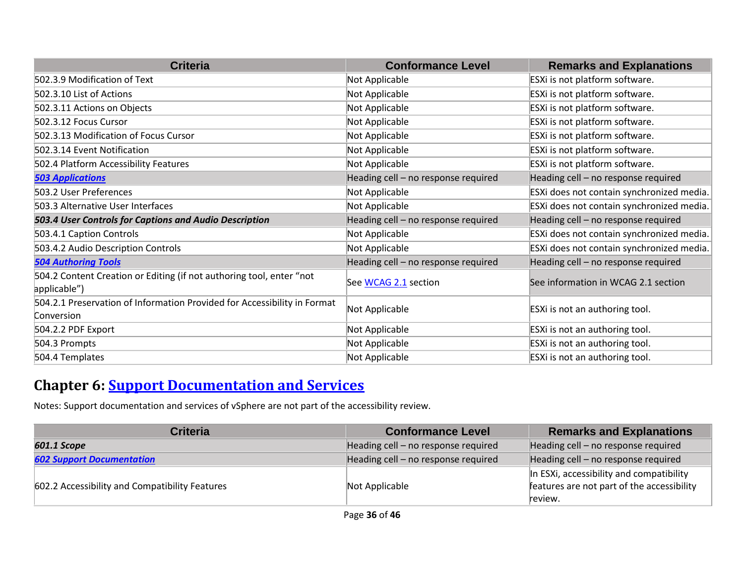| <b>Criteria</b>                                                                        | <b>Conformance Level</b>            | <b>Remarks and Explanations</b>           |
|----------------------------------------------------------------------------------------|-------------------------------------|-------------------------------------------|
| 502.3.9 Modification of Text                                                           | Not Applicable                      | ESXi is not platform software.            |
| 502.3.10 List of Actions                                                               | Not Applicable                      | ESXi is not platform software.            |
| 502.3.11 Actions on Objects                                                            | Not Applicable                      | ESXi is not platform software.            |
| 502.3.12 Focus Cursor                                                                  | Not Applicable                      | ESXi is not platform software.            |
| 502.3.13 Modification of Focus Cursor                                                  | Not Applicable                      | ESXi is not platform software.            |
| 502.3.14 Event Notification                                                            | Not Applicable                      | ESXi is not platform software.            |
| 502.4 Platform Accessibility Features                                                  | Not Applicable                      | ESXi is not platform software.            |
| <b>503 Applications</b>                                                                | Heading cell - no response required | Heading cell - no response required       |
| 503.2 User Preferences                                                                 | Not Applicable                      | ESXi does not contain synchronized media. |
| 503.3 Alternative User Interfaces                                                      | Not Applicable                      | ESXi does not contain synchronized media. |
| 503.4 User Controls for Captions and Audio Description                                 | Heading cell - no response required | Heading cell - no response required       |
| 503.4.1 Caption Controls                                                               | Not Applicable                      | ESXi does not contain synchronized media. |
| 503.4.2 Audio Description Controls                                                     | Not Applicable                      | ESXi does not contain synchronized media. |
| <b>504 Authoring Tools</b>                                                             | Heading cell - no response required | Heading cell - no response required       |
| 504.2 Content Creation or Editing (if not authoring tool, enter "not<br>applicable")   | See WCAG 2.1 section                | See information in WCAG 2.1 section       |
| 504.2.1 Preservation of Information Provided for Accessibility in Format<br>Conversion | Not Applicable                      | ESXi is not an authoring tool.            |
| 504.2.2 PDF Export                                                                     | Not Applicable                      | ESXi is not an authoring tool.            |
| 504.3 Prompts                                                                          | Not Applicable                      | ESXi is not an authoring tool.            |
| 504.4 Templates                                                                        | Not Applicable                      | ESXi is not an authoring tool.            |

#### **Chapter 6: [Support Documentation and Services](https://www.access-board.gov/guidelines-and-standards/communications-and-it/about-the-ict-refresh/final-rule/text-of-the-standards-and-guidelines#601-general)**

Notes: Support documentation and services of vSphere are not part of the accessibility review.

| <b>Criteria</b>                                | <b>Conformance Level</b>            | <b>Remarks and Explanations</b>                                                        |
|------------------------------------------------|-------------------------------------|----------------------------------------------------------------------------------------|
| 601.1 Scope                                    | Heading cell - no response required | Heading cell - no response required                                                    |
| <b>602 Support Documentation</b>               | Heading cell - no response required | Heading cell - no response required                                                    |
| 602.2 Accessibility and Compatibility Features | Not Applicable                      | In ESXi, accessibility and compatibility<br>features are not part of the accessibility |
|                                                |                                     | review.                                                                                |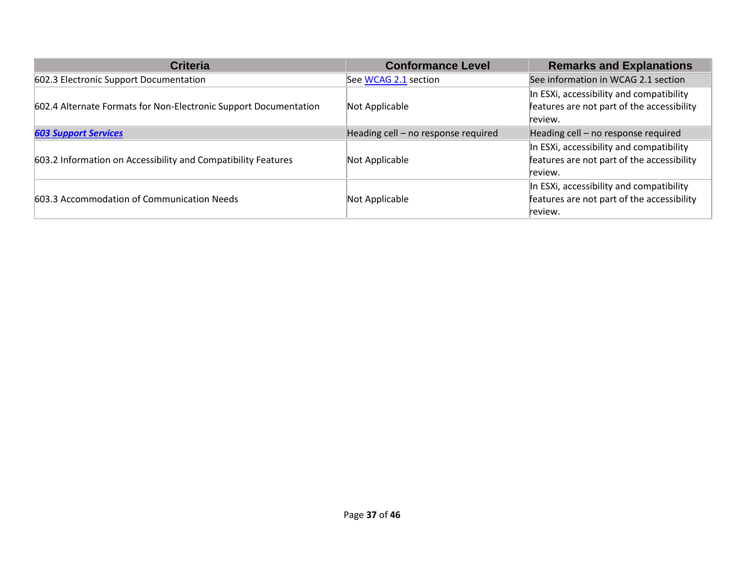| <b>Criteria</b>                                                  | <b>Conformance Level</b>            | <b>Remarks and Explanations</b>            |
|------------------------------------------------------------------|-------------------------------------|--------------------------------------------|
| 602.3 Electronic Support Documentation                           | See WCAG 2.1 section                | See information in WCAG 2.1 section        |
|                                                                  |                                     | In ESXi, accessibility and compatibility   |
| 602.4 Alternate Formats for Non-Electronic Support Documentation | Not Applicable                      | features are not part of the accessibility |
|                                                                  |                                     | review.                                    |
| <b>603 Support Services</b>                                      | Heading cell - no response required | Heading cell - no response required        |
|                                                                  |                                     | In ESXi, accessibility and compatibility   |
| 603.2 Information on Accessibility and Compatibility Features    | Not Applicable                      | features are not part of the accessibility |
|                                                                  |                                     | review.                                    |
|                                                                  |                                     | In ESXi, accessibility and compatibility   |
| 603.3 Accommodation of Communication Needs                       | Not Applicable                      | features are not part of the accessibility |
|                                                                  |                                     | review.                                    |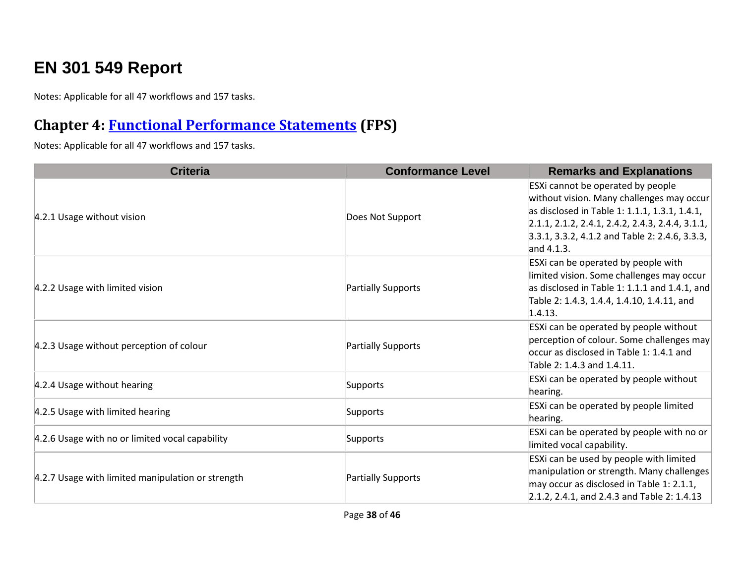## **EN 301 549 Report**

Notes: Applicable for all 47 workflows and 157 tasks.

#### **Chapter 4: [Functional Performance Statements](https://www.etsi.org/deliver/etsi_en/301500_301599/301549/03.01.01_60/en_301549v030101p.pdf#%5B%7B%22num%22%3A38%2C%22gen%22%3A0%7D%2C%7B%22name%22%3A%22XYZ%22%7D%2C54%2C747%2C0%5D) (FPS)**

Notes: Applicable for all 47 workflows and 157 tasks.

| <b>Criteria</b>                                   | <b>Conformance Level</b> | <b>Remarks and Explanations</b>                                                                                                                                                                                                                          |
|---------------------------------------------------|--------------------------|----------------------------------------------------------------------------------------------------------------------------------------------------------------------------------------------------------------------------------------------------------|
| 4.2.1 Usage without vision                        | Does Not Support         | ESXi cannot be operated by people<br>without vision. Many challenges may occur<br>as disclosed in Table 1: 1.1.1, 1.3.1, 1.4.1,<br>$[2.1.1, 2.1.2, 2.4.1, 2.4.2, 2.4.3, 2.4.4, 3.1.1,$<br>$3.3.1, 3.3.2, 4.1.2$ and Table 2: 2.4.6, 3.3.3,<br>and 4.1.3. |
| 4.2.2 Usage with limited vision                   | Partially Supports       | ESXi can be operated by people with<br>limited vision. Some challenges may occur<br>as disclosed in Table 1: 1.1.1 and 1.4.1, and<br>Table 2: 1.4.3, 1.4.4, 1.4.10, 1.4.11, and<br>1.4.13.                                                               |
| 4.2.3 Usage without perception of colour          | Partially Supports       | ESXi can be operated by people without<br>perception of colour. Some challenges may<br>occur as disclosed in Table 1: 1.4.1 and<br>Table 2: 1.4.3 and 1.4.11.                                                                                            |
| 4.2.4 Usage without hearing                       | Supports                 | ESXi can be operated by people without<br>hearing.                                                                                                                                                                                                       |
| 4.2.5 Usage with limited hearing                  | Supports                 | ESXi can be operated by people limited<br>hearing.                                                                                                                                                                                                       |
| 4.2.6 Usage with no or limited vocal capability   | Supports                 | ESXi can be operated by people with no or<br>limited vocal capability.                                                                                                                                                                                   |
| 4.2.7 Usage with limited manipulation or strength | Partially Supports       | ESXi can be used by people with limited<br>manipulation or strength. Many challenges<br>may occur as disclosed in Table 1: 2.1.1,<br>2.1.2, 2.4.1, and 2.4.3 and Table 2: 1.4.13                                                                         |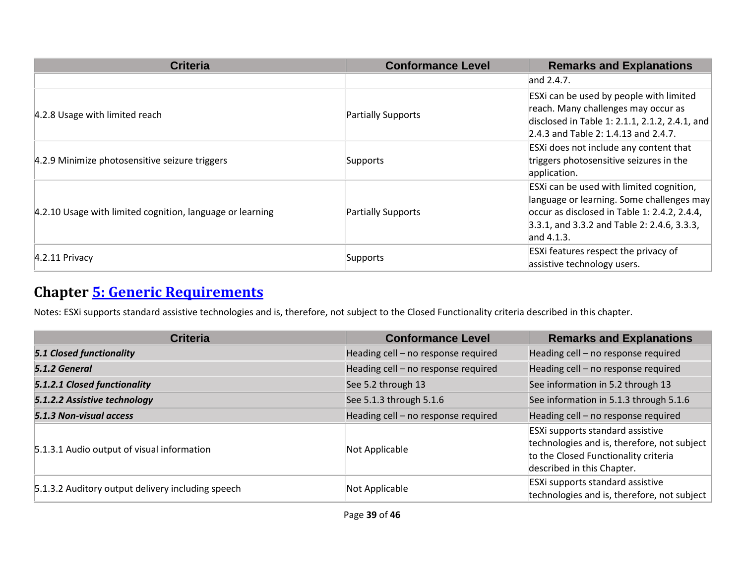| <b>Criteria</b>                                           | <b>Conformance Level</b> | <b>Remarks and Explanations</b>                                                                                                                                                                   |
|-----------------------------------------------------------|--------------------------|---------------------------------------------------------------------------------------------------------------------------------------------------------------------------------------------------|
|                                                           |                          | and $2.4.7$ .                                                                                                                                                                                     |
| 4.2.8 Usage with limited reach                            | Partially Supports       | ESXi can be used by people with limited<br>reach. Many challenges may occur as<br>disclosed in Table 1: 2.1.1, 2.1.2, 2.4.1, and<br>2.4.3 and Table 2: 1.4.13 and 2.4.7.                          |
| 4.2.9 Minimize photosensitive seizure triggers            | Supports                 | ESXi does not include any content that<br>triggers photosensitive seizures in the<br>application.                                                                                                 |
| 4.2.10 Usage with limited cognition, language or learning | Partially Supports       | ESXI can be used with limited cognition,<br>anguage or learning. Some challenges may<br>occur as disclosed in Table 1: 2.4.2, 2.4.4,<br>3.3.1, and 3.3.2 and Table 2: 2.4.6, 3.3.3,<br>and 4.1.3. |
| $4.2.11$ Privacy                                          | Supports                 | ESXi features respect the privacy of<br>assistive technology users.                                                                                                                               |

## **Chapter [5: Generic Requirements](https://www.etsi.org/deliver/etsi_en/301500_301599/301549/03.01.01_60/en_301549v030101p.pdf#%5B%7B%22num%22%3A45%2C%22gen%22%3A0%7D%2C%7B%22name%22%3A%22XYZ%22%7D%2C54%2C747%2C0%5D)**

Notes: ESXi supports standard assistive technologies and is, therefore, not subject to the Closed Functionality criteria described in this chapter.

| <b>Criteria</b>                                   | <b>Conformance Level</b>            | <b>Remarks and Explanations</b>                                                                                                                       |
|---------------------------------------------------|-------------------------------------|-------------------------------------------------------------------------------------------------------------------------------------------------------|
| <b>5.1 Closed functionality</b>                   | Heading cell - no response required | Heading cell - no response required                                                                                                                   |
| 5.1.2 General                                     | Heading cell - no response required | Heading cell - no response required                                                                                                                   |
| 5.1.2.1 Closed functionality                      | See 5.2 through 13                  | See information in 5.2 through 13                                                                                                                     |
| 5.1.2.2 Assistive technology                      | See 5.1.3 through 5.1.6             | See information in 5.1.3 through 5.1.6                                                                                                                |
| 5.1.3 Non-visual access                           | Heading cell - no response required | Heading cell - no response required                                                                                                                   |
| 5.1.3.1 Audio output of visual information        | Not Applicable                      | ESXi supports standard assistive<br>technologies and is, therefore, not subject<br>to the Closed Functionality criteria<br>described in this Chapter. |
| 5.1.3.2 Auditory output delivery including speech | Not Applicable                      | ESXi supports standard assistive<br>technologies and is, therefore, not subject                                                                       |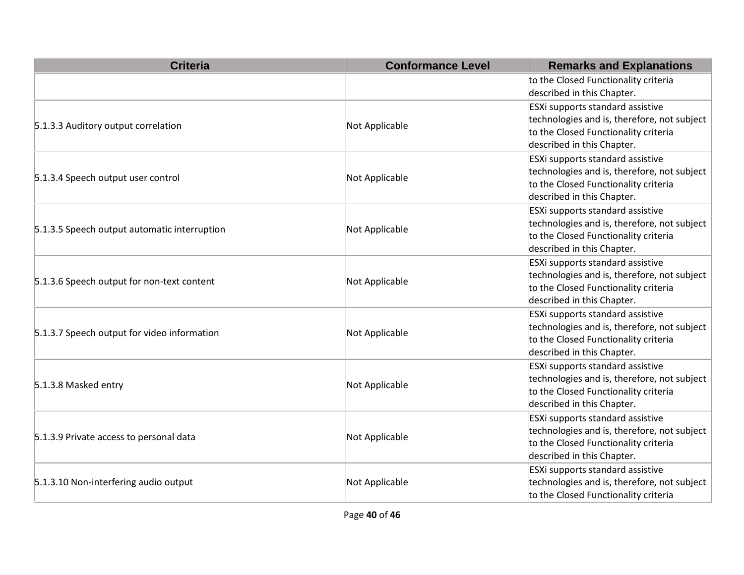| <b>Criteria</b>                              | <b>Conformance Level</b> | <b>Remarks and Explanations</b>                                                                                                                       |
|----------------------------------------------|--------------------------|-------------------------------------------------------------------------------------------------------------------------------------------------------|
|                                              |                          | to the Closed Functionality criteria<br>described in this Chapter.                                                                                    |
| 5.1.3.3 Auditory output correlation          | Not Applicable           | ESXi supports standard assistive<br>technologies and is, therefore, not subject<br>to the Closed Functionality criteria<br>described in this Chapter. |
| 5.1.3.4 Speech output user control           | Not Applicable           | ESXi supports standard assistive<br>technologies and is, therefore, not subject<br>to the Closed Functionality criteria<br>described in this Chapter. |
| 5.1.3.5 Speech output automatic interruption | Not Applicable           | ESXi supports standard assistive<br>technologies and is, therefore, not subject<br>to the Closed Functionality criteria<br>described in this Chapter. |
| 5.1.3.6 Speech output for non-text content   | Not Applicable           | ESXi supports standard assistive<br>technologies and is, therefore, not subject<br>to the Closed Functionality criteria<br>described in this Chapter. |
| 5.1.3.7 Speech output for video information  | Not Applicable           | ESXi supports standard assistive<br>technologies and is, therefore, not subject<br>to the Closed Functionality criteria<br>described in this Chapter. |
| 5.1.3.8 Masked entry                         | Not Applicable           | ESXi supports standard assistive<br>technologies and is, therefore, not subject<br>to the Closed Functionality criteria<br>described in this Chapter. |
| 5.1.3.9 Private access to personal data      | Not Applicable           | ESXi supports standard assistive<br>technologies and is, therefore, not subject<br>to the Closed Functionality criteria<br>described in this Chapter. |
| 5.1.3.10 Non-interfering audio output        | Not Applicable           | ESXi supports standard assistive<br>technologies and is, therefore, not subject<br>to the Closed Functionality criteria                               |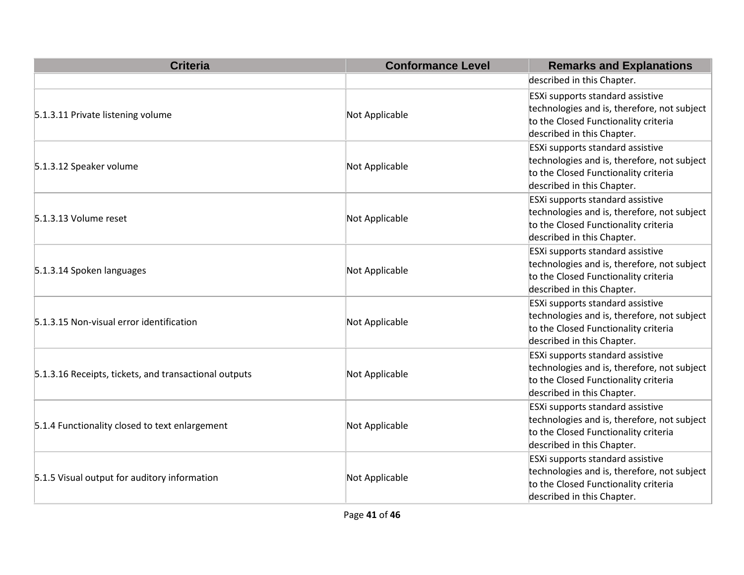| <b>Criteria</b>                                       | <b>Conformance Level</b> | <b>Remarks and Explanations</b>                                                                                                                       |
|-------------------------------------------------------|--------------------------|-------------------------------------------------------------------------------------------------------------------------------------------------------|
|                                                       |                          | described in this Chapter.                                                                                                                            |
| 5.1.3.11 Private listening volume                     | Not Applicable           | ESXi supports standard assistive<br>technologies and is, therefore, not subject<br>to the Closed Functionality criteria<br>described in this Chapter. |
| 5.1.3.12 Speaker volume                               | Not Applicable           | ESXi supports standard assistive<br>technologies and is, therefore, not subject<br>to the Closed Functionality criteria<br>described in this Chapter. |
| 5.1.3.13 Volume reset                                 | Not Applicable           | ESXi supports standard assistive<br>technologies and is, therefore, not subject<br>to the Closed Functionality criteria<br>described in this Chapter. |
| 5.1.3.14 Spoken languages                             | Not Applicable           | ESXi supports standard assistive<br>technologies and is, therefore, not subject<br>to the Closed Functionality criteria<br>described in this Chapter. |
| 5.1.3.15 Non-visual error identification              | Not Applicable           | ESXi supports standard assistive<br>technologies and is, therefore, not subject<br>to the Closed Functionality criteria<br>described in this Chapter. |
| 5.1.3.16 Receipts, tickets, and transactional outputs | Not Applicable           | ESXi supports standard assistive<br>technologies and is, therefore, not subject<br>to the Closed Functionality criteria<br>described in this Chapter. |
| 5.1.4 Functionality closed to text enlargement        | Not Applicable           | ESXi supports standard assistive<br>technologies and is, therefore, not subject<br>to the Closed Functionality criteria<br>described in this Chapter. |
| 5.1.5 Visual output for auditory information          | Not Applicable           | ESXi supports standard assistive<br>technologies and is, therefore, not subject<br>to the Closed Functionality criteria<br>described in this Chapter. |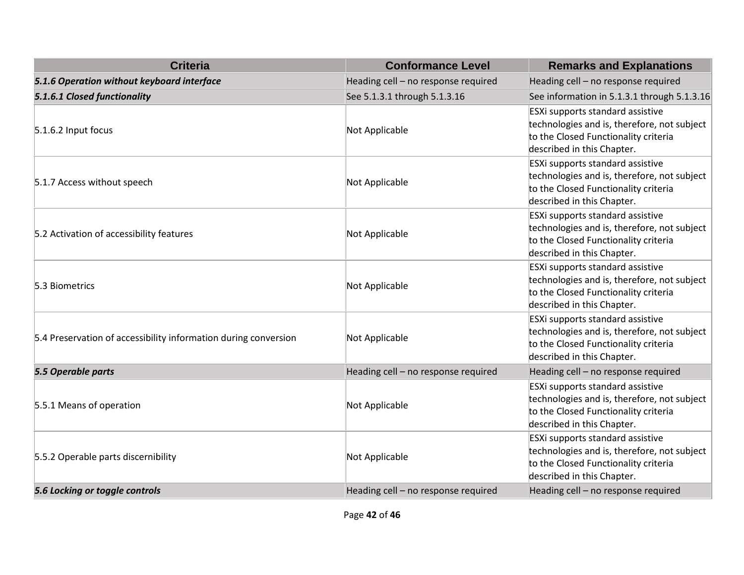| <b>Criteria</b>                                                 | <b>Conformance Level</b>            | <b>Remarks and Explanations</b>                                                                                                                              |
|-----------------------------------------------------------------|-------------------------------------|--------------------------------------------------------------------------------------------------------------------------------------------------------------|
| 5.1.6 Operation without keyboard interface                      | Heading cell - no response required | Heading cell - no response required                                                                                                                          |
| 5.1.6.1 Closed functionality                                    | See 5.1.3.1 through 5.1.3.16        | See information in 5.1.3.1 through 5.1.3.16                                                                                                                  |
| 5.1.6.2 Input focus                                             | Not Applicable                      | <b>ESXi supports standard assistive</b><br>technologies and is, therefore, not subject<br>to the Closed Functionality criteria<br>described in this Chapter. |
| 5.1.7 Access without speech                                     | Not Applicable                      | ESXi supports standard assistive<br>technologies and is, therefore, not subject<br>to the Closed Functionality criteria<br>described in this Chapter.        |
| 5.2 Activation of accessibility features                        | Not Applicable                      | <b>ESXi supports standard assistive</b><br>technologies and is, therefore, not subject<br>to the Closed Functionality criteria<br>described in this Chapter. |
| 5.3 Biometrics                                                  | Not Applicable                      | <b>ESXi supports standard assistive</b><br>technologies and is, therefore, not subject<br>to the Closed Functionality criteria<br>described in this Chapter. |
| 5.4 Preservation of accessibility information during conversion | Not Applicable                      | <b>ESXi supports standard assistive</b><br>technologies and is, therefore, not subject<br>to the Closed Functionality criteria<br>described in this Chapter. |
| 5.5 Operable parts                                              | Heading cell - no response required | Heading cell - no response required                                                                                                                          |
| 5.5.1 Means of operation                                        | Not Applicable                      | <b>ESXi supports standard assistive</b><br>technologies and is, therefore, not subject<br>to the Closed Functionality criteria<br>described in this Chapter. |
| 5.5.2 Operable parts discernibility                             | Not Applicable                      | <b>ESXi supports standard assistive</b><br>technologies and is, therefore, not subject<br>to the Closed Functionality criteria<br>described in this Chapter. |
| 5.6 Locking or toggle controls                                  | Heading cell - no response required | Heading cell - no response required                                                                                                                          |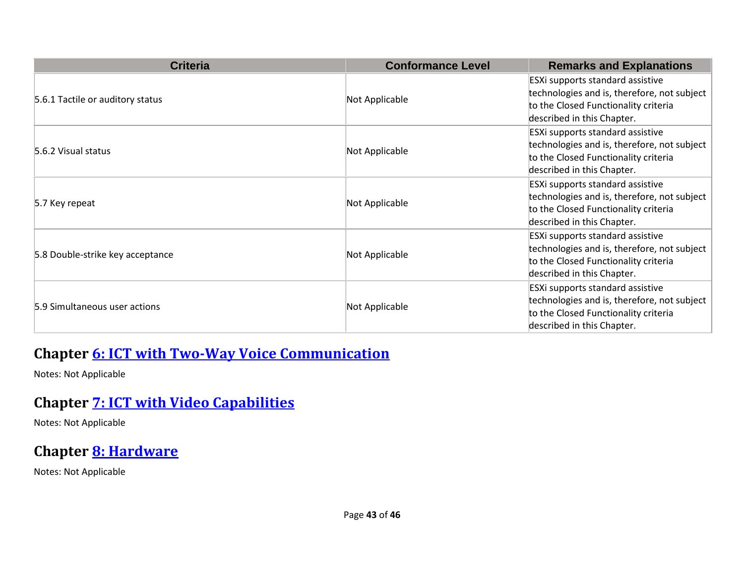| <b>Criteria</b>                  | <b>Conformance Level</b> | <b>Remarks and Explanations</b>                                                                                                                       |
|----------------------------------|--------------------------|-------------------------------------------------------------------------------------------------------------------------------------------------------|
| 5.6.1 Tactile or auditory status | Not Applicable           | ESXi supports standard assistive<br>technologies and is, therefore, not subject<br>to the Closed Functionality criteria<br>described in this Chapter. |
| 5.6.2 Visual status              | Not Applicable           | ESXi supports standard assistive<br>technologies and is, therefore, not subject<br>to the Closed Functionality criteria<br>described in this Chapter. |
| 5.7 Key repeat                   | Not Applicable           | ESXi supports standard assistive<br>technologies and is, therefore, not subject<br>to the Closed Functionality criteria<br>described in this Chapter. |
| 5.8 Double-strike key acceptance | Not Applicable           | ESXi supports standard assistive<br>technologies and is, therefore, not subject<br>to the Closed Functionality criteria<br>described in this Chapter. |
| 5.9 Simultaneous user actions    | Not Applicable           | ESXi supports standard assistive<br>technologies and is, therefore, not subject<br>to the Closed Functionality criteria<br>described in this Chapter. |

#### **Chapter [6: ICT with Two-Way Voice Communication](https://www.etsi.org/deliver/etsi_en/301500_301599/301549/03.01.01_60/en_301549v030101p.pdf#%5B%7B%22num%22%3A60%2C%22gen%22%3A0%7D%2C%7B%22name%22%3A%22XYZ%22%7D%2C54%2C747%2C0%5D)**

Notes: Not Applicable

#### **Chapter [7: ICT with Video Capabilities](https://www.etsi.org/deliver/etsi_en/301500_301599/301549/03.01.01_60/en_301549v030101p.pdf#%5B%7B%22num%22%3A70%2C%22gen%22%3A0%7D%2C%7B%22name%22%3A%22XYZ%22%7D%2C54%2C747%2C0%5D)**

Notes: Not Applicable

#### **Chapter [8: Hardware](https://www.etsi.org/deliver/etsi_en/301500_301599/301549/03.01.01_60/en_301549v030101p.pdf#%5B%7B%22num%22%3A74%2C%22gen%22%3A0%7D%2C%7B%22name%22%3A%22XYZ%22%7D%2C54%2C747%2C0%5D)**

Notes: Not Applicable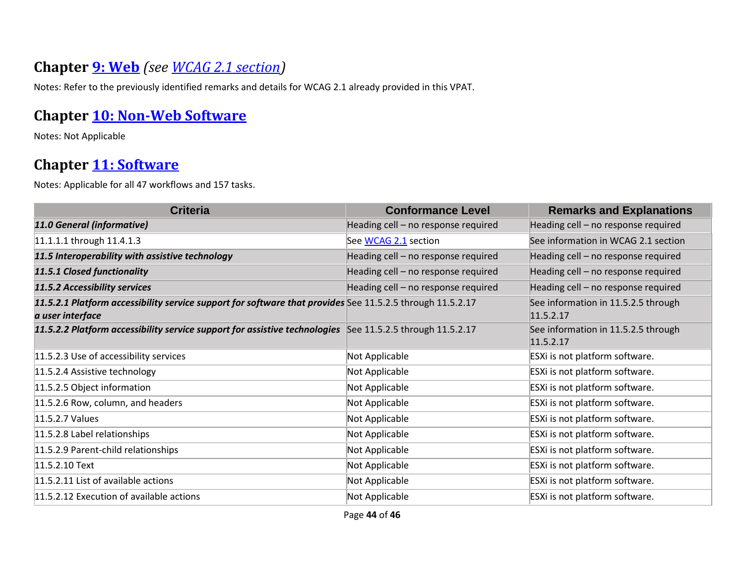#### **Chapter [9: Web](https://www.etsi.org/deliver/etsi_en/301500_301599/301549/03.01.01_60/en_301549v030101p.pdf#%5B%7B%22num%22%3A113%2C%22gen%22%3A0%7D%2C%7B%22name%22%3A%22XYZ%22%7D%2C54%2C747%2C0%5D)** *(see [WCAG 2.1 section\)](#page-0-0)*

Notes: Refer to the previously identified remarks and details for WCAG 2.1 already provided in this VPAT.

#### **Chapter [10: Non-Web Software](https://www.etsi.org/deliver/etsi_en/301500_301599/301549/03.01.01_60/en_301549v030101p.pdf#%5B%7B%22num%22%3A127%2C%22gen%22%3A0%7D%2C%7B%22name%22%3A%22XYZ%22%7D%2C54%2C747%2C0%5D)**

Notes: Not Applicable

#### **Chapter [11: Software](https://www.etsi.org/deliver/etsi_en/301500_301599/301549/03.01.01_60/en_301549v030101p.pdf#%5B%7B%22num%22%3A149%2C%22gen%22%3A0%7D%2C%7B%22name%22%3A%22XYZ%22%7D%2C54%2C747%2C0%5D)**

Notes: Applicable for all 47 workflows and 157 tasks.

| <b>Criteria</b>                                                                                                               | <b>Conformance Level</b>            | <b>Remarks and Explanations</b>                  |
|-------------------------------------------------------------------------------------------------------------------------------|-------------------------------------|--------------------------------------------------|
| 11.0 General (informative)                                                                                                    | Heading cell - no response required | Heading cell - no response required              |
| 11.1.1.1 through 11.4.1.3                                                                                                     | See WCAG 2.1 section                | See information in WCAG 2.1 section              |
| 11.5 Interoperability with assistive technology                                                                               | Heading cell - no response required | Heading cell - no response required              |
| 11.5.1 Closed functionality                                                                                                   | Heading cell - no response required | Heading cell - no response required              |
| 11.5.2 Accessibility services                                                                                                 | Heading cell - no response required | Heading cell - no response required              |
| 11.5.2.1 Platform accessibility service support for software that provides See 11.5.2.5 through 11.5.2.17<br>a user interface |                                     | See information in 11.5.2.5 through<br>11.5.2.17 |
| 11.5.2.2 Platform accessibility service support for assistive technologies See 11.5.2.5 through 11.5.2.17                     |                                     | See information in 11.5.2.5 through<br>11.5.2.17 |
| 11.5.2.3 Use of accessibility services                                                                                        | Not Applicable                      | ESXi is not platform software.                   |
| 11.5.2.4 Assistive technology                                                                                                 | Not Applicable                      | ESXi is not platform software.                   |
| 11.5.2.5 Object information                                                                                                   | Not Applicable                      | ESXi is not platform software.                   |
| 11.5.2.6 Row, column, and headers                                                                                             | Not Applicable                      | ESXi is not platform software.                   |
| 11.5.2.7 Values                                                                                                               | Not Applicable                      | ESXi is not platform software.                   |
| 11.5.2.8 Label relationships                                                                                                  | Not Applicable                      | ESXi is not platform software.                   |
| 11.5.2.9 Parent-child relationships                                                                                           | Not Applicable                      | ESXi is not platform software.                   |
| 11.5.2.10 Text                                                                                                                | Not Applicable                      | ESXi is not platform software.                   |
| 11.5.2.11 List of available actions                                                                                           | Not Applicable                      | ESXi is not platform software.                   |
| 11.5.2.12 Execution of available actions                                                                                      | Not Applicable                      | ESXi is not platform software.                   |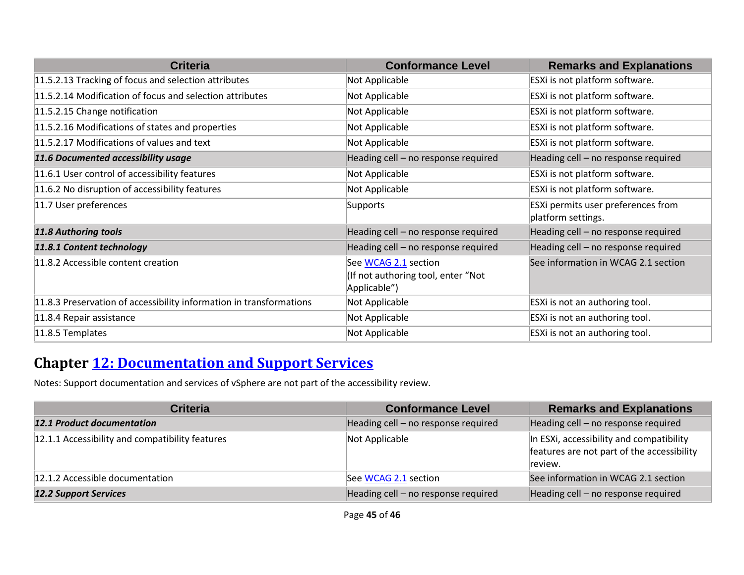| <b>Criteria</b>                                                     | <b>Conformance Level</b>                                                   | <b>Remarks and Explanations</b>                          |
|---------------------------------------------------------------------|----------------------------------------------------------------------------|----------------------------------------------------------|
| 11.5.2.13 Tracking of focus and selection attributes                | Not Applicable                                                             | ESXi is not platform software.                           |
| 11.5.2.14 Modification of focus and selection attributes            | Not Applicable                                                             | ESXi is not platform software.                           |
| 11.5.2.15 Change notification                                       | Not Applicable                                                             | ESXi is not platform software.                           |
| 11.5.2.16 Modifications of states and properties                    | Not Applicable                                                             | ESXi is not platform software.                           |
| 11.5.2.17 Modifications of values and text                          | Not Applicable                                                             | ESXi is not platform software.                           |
| 11.6 Documented accessibility usage                                 | Heading cell - no response required                                        | Heading cell - no response required                      |
| 11.6.1 User control of accessibility features                       | Not Applicable                                                             | ESXi is not platform software.                           |
| 11.6.2 No disruption of accessibility features                      | Not Applicable                                                             | ESXi is not platform software.                           |
| 11.7 User preferences                                               | Supports                                                                   | ESXi permits user preferences from<br>platform settings. |
| <b>11.8 Authoring tools</b>                                         | Heading cell - no response required                                        | Heading cell - no response required                      |
| 11.8.1 Content technology                                           | Heading cell - no response required                                        | Heading cell - no response required                      |
| 11.8.2 Accessible content creation                                  | See WCAG 2.1 section<br>(If not authoring tool, enter "Not<br>Applicable") | See information in WCAG 2.1 section                      |
| 11.8.3 Preservation of accessibility information in transformations | Not Applicable                                                             | ESXi is not an authoring tool.                           |
| 11.8.4 Repair assistance                                            | Not Applicable                                                             | ESXi is not an authoring tool.                           |
| 11.8.5 Templates                                                    | Not Applicable                                                             | ESXi is not an authoring tool.                           |

#### **Chapter [12: Documentation and Support Services](https://www.etsi.org/deliver/etsi_en/301500_301599/301549/03.01.01_60/en_301549v030101p.pdf#%5B%7B%22num%22%3A187%2C%22gen%22%3A0%7D%2C%7B%22name%22%3A%22XYZ%22%7D%2C54%2C747%2C0%5D)**

Notes: Support documentation and services of vSphere are not part of the accessibility review.

| <b>Criteria</b>                                 | <b>Conformance Level</b>            | <b>Remarks and Explanations</b>                                                                   |
|-------------------------------------------------|-------------------------------------|---------------------------------------------------------------------------------------------------|
| <b>12.1 Product documentation</b>               | Heading cell - no response required | Heading cell - no response required                                                               |
| 12.1.1 Accessibility and compatibility features | Not Applicable                      | In ESXi, accessibility and compatibility<br>features are not part of the accessibility<br>review. |
| 12.1.2 Accessible documentation                 | See WCAG 2.1 section                | See information in WCAG 2.1 section                                                               |
| <b>12.2 Support Services</b>                    | Heading cell - no response required | Heading cell - no response required                                                               |